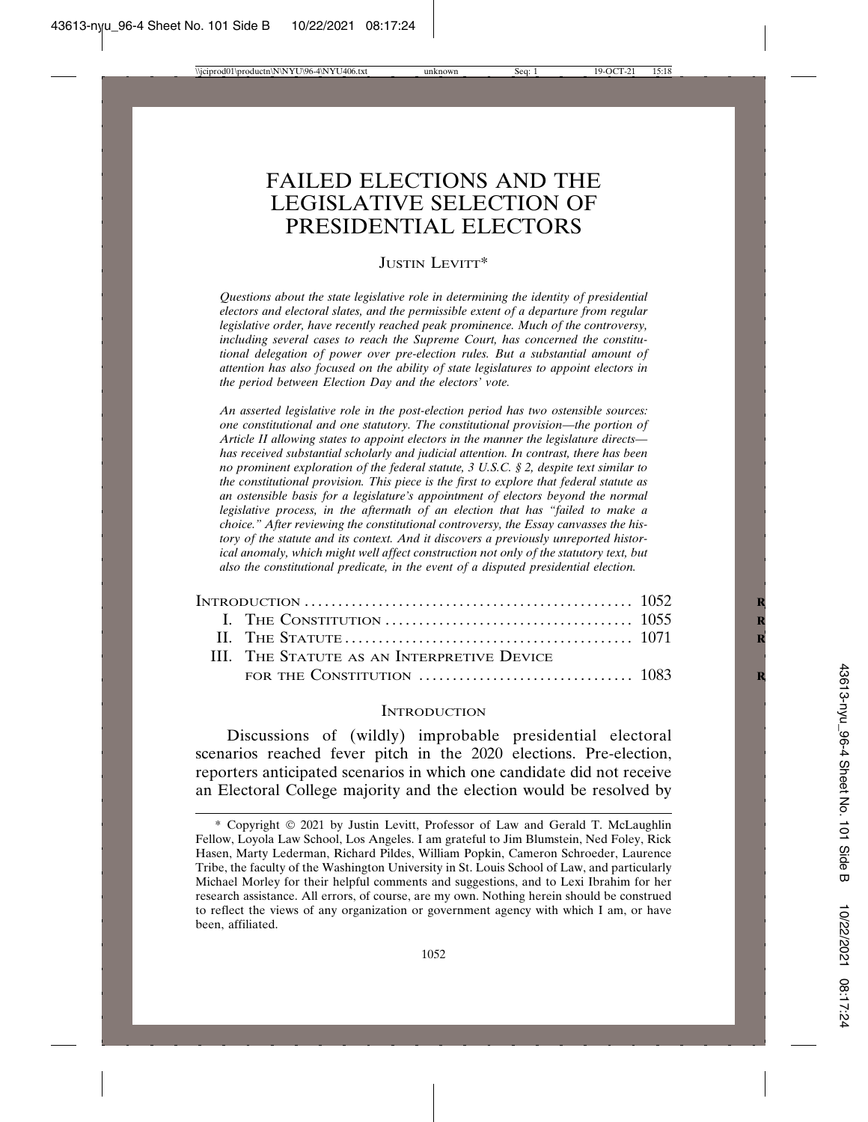# FAILED ELECTIONS AND THE LEGISLATIVE SELECTION OF PRESIDENTIAL ELECTORS

## JUSTIN LEVITT\*

*Questions about the state legislative role in determining the identity of presidential electors and electoral slates, and the permissible extent of a departure from regular legislative order, have recently reached peak prominence. Much of the controversy, including several cases to reach the Supreme Court, has concerned the constitutional delegation of power over pre-election rules. But a substantial amount of attention has also focused on the ability of state legislatures to appoint electors in the period between Election Day and the electors' vote.*

*An asserted legislative role in the post-election period has two ostensible sources: one constitutional and one statutory. The constitutional provision—the portion of Article II allowing states to appoint electors in the manner the legislature directs has received substantial scholarly and judicial attention. In contrast, there has been no prominent exploration of the federal statute, 3 U.S.C. § 2, despite text similar to the constitutional provision. This piece is the first to explore that federal statute as an ostensible basis for a legislature's appointment of electors beyond the normal legislative process, in the aftermath of an election that has "failed to make a choice." After reviewing the constitutional controversy, the Essay canvasses the history of the statute and its context. And it discovers a previously unreported historical anomaly, which might well affect construction not only of the statutory text, but also the constitutional predicate, in the event of a disputed presidential election.*

|  | III. THE STATUTE AS AN INTERPRETIVE DEVICE |  |
|--|--------------------------------------------|--|
|  |                                            |  |

#### **INTRODUCTION**

Discussions of (wildly) improbable presidential electoral scenarios reached fever pitch in the 2020 elections. Pre-election, reporters anticipated scenarios in which one candidate did not receive an Electoral College majority and the election would be resolved by

<sup>\*</sup> Copyright © 2021 by Justin Levitt, Professor of Law and Gerald T. McLaughlin Fellow, Loyola Law School, Los Angeles. I am grateful to Jim Blumstein, Ned Foley, Rick Hasen, Marty Lederman, Richard Pildes, William Popkin, Cameron Schroeder, Laurence Tribe, the faculty of the Washington University in St. Louis School of Law, and particularly Michael Morley for their helpful comments and suggestions, and to Lexi Ibrahim for her research assistance. All errors, of course, are my own. Nothing herein should be construed to reflect the views of any organization or government agency with which I am, or have been, affiliated.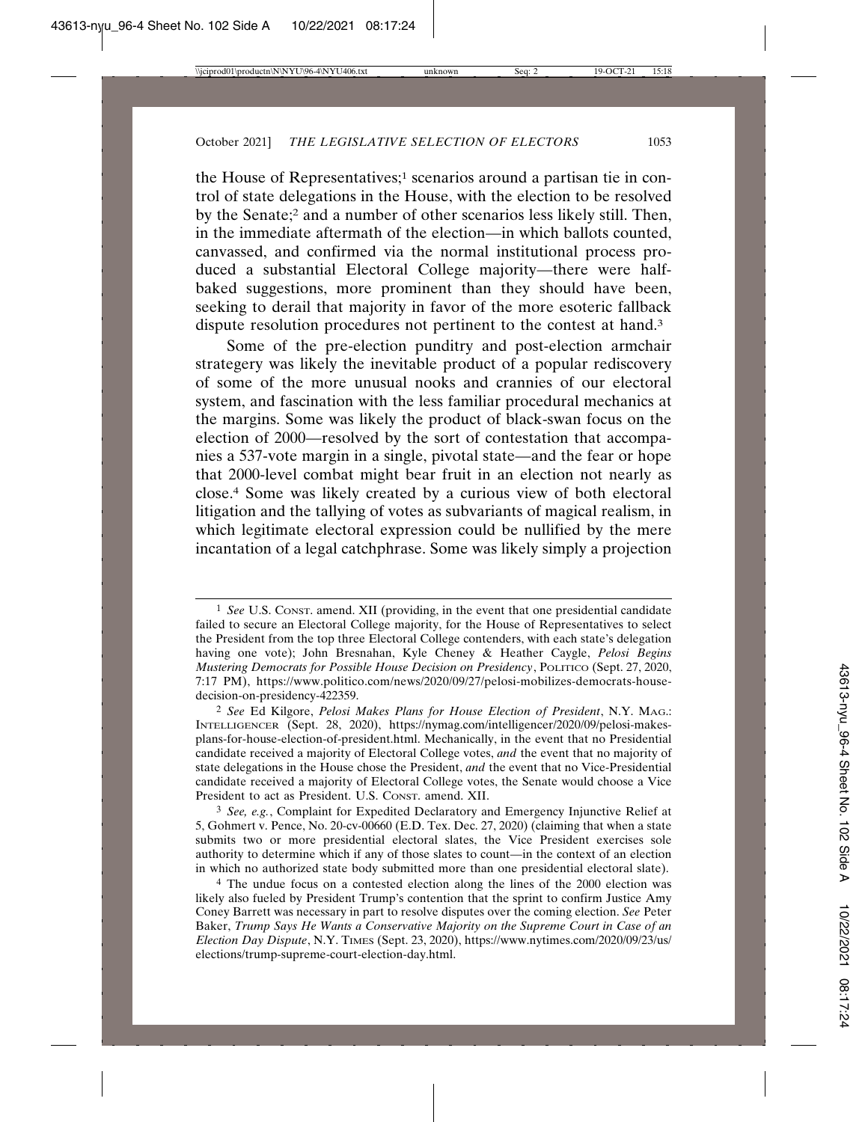the House of Representatives;<sup>1</sup> scenarios around a partisan tie in control of state delegations in the House, with the election to be resolved by the Senate;2 and a number of other scenarios less likely still. Then, in the immediate aftermath of the election—in which ballots counted, canvassed, and confirmed via the normal institutional process produced a substantial Electoral College majority—there were halfbaked suggestions, more prominent than they should have been, seeking to derail that majority in favor of the more esoteric fallback dispute resolution procedures not pertinent to the contest at hand.3

Some of the pre-election punditry and post-election armchair strategery was likely the inevitable product of a popular rediscovery of some of the more unusual nooks and crannies of our electoral system, and fascination with the less familiar procedural mechanics at the margins. Some was likely the product of black-swan focus on the election of 2000—resolved by the sort of contestation that accompanies a 537-vote margin in a single, pivotal state—and the fear or hope that 2000-level combat might bear fruit in an election not nearly as close.4 Some was likely created by a curious view of both electoral litigation and the tallying of votes as subvariants of magical realism, in which legitimate electoral expression could be nullified by the mere incantation of a legal catchphrase. Some was likely simply a projection

<sup>1</sup> *See* U.S. CONST. amend. XII (providing, in the event that one presidential candidate failed to secure an Electoral College majority, for the House of Representatives to select the President from the top three Electoral College contenders, with each state's delegation having one vote); John Bresnahan, Kyle Cheney & Heather Caygle, *Pelosi Begins Mustering Democrats for Possible House Decision on Presidency*, POLITICO (Sept. 27, 2020, 7:17 PM), https://www.politico.com/news/2020/09/27/pelosi-mobilizes-democrats-housedecision-on-presidency-422359.

<sup>2</sup> *See* Ed Kilgore, *Pelosi Makes Plans for House Election of President*, N.Y. MAG.: INTELLIGENCER (Sept. 28, 2020), https://nymag.com/intelligencer/2020/09/pelosi-makesplans-for-house-election-of-president.html. Mechanically, in the event that no Presidential candidate received a majority of Electoral College votes, *and* the event that no majority of state delegations in the House chose the President, *and* the event that no Vice-Presidential candidate received a majority of Electoral College votes, the Senate would choose a Vice President to act as President. U.S. CONST. amend. XII.

<sup>3</sup> *See, e.g.*, Complaint for Expedited Declaratory and Emergency Injunctive Relief at 5, Gohmert v. Pence, No. 20-cv-00660 (E.D. Tex. Dec. 27, 2020) (claiming that when a state submits two or more presidential electoral slates, the Vice President exercises sole authority to determine which if any of those slates to count—in the context of an election in which no authorized state body submitted more than one presidential electoral slate).

<sup>4</sup> The undue focus on a contested election along the lines of the 2000 election was likely also fueled by President Trump's contention that the sprint to confirm Justice Amy Coney Barrett was necessary in part to resolve disputes over the coming election. *See* Peter Baker, *Trump Says He Wants a Conservative Majority on the Supreme Court in Case of an Election Day Dispute*, N.Y. TIMES (Sept. 23, 2020), https://www.nytimes.com/2020/09/23/us/ elections/trump-supreme-court-election-day.html.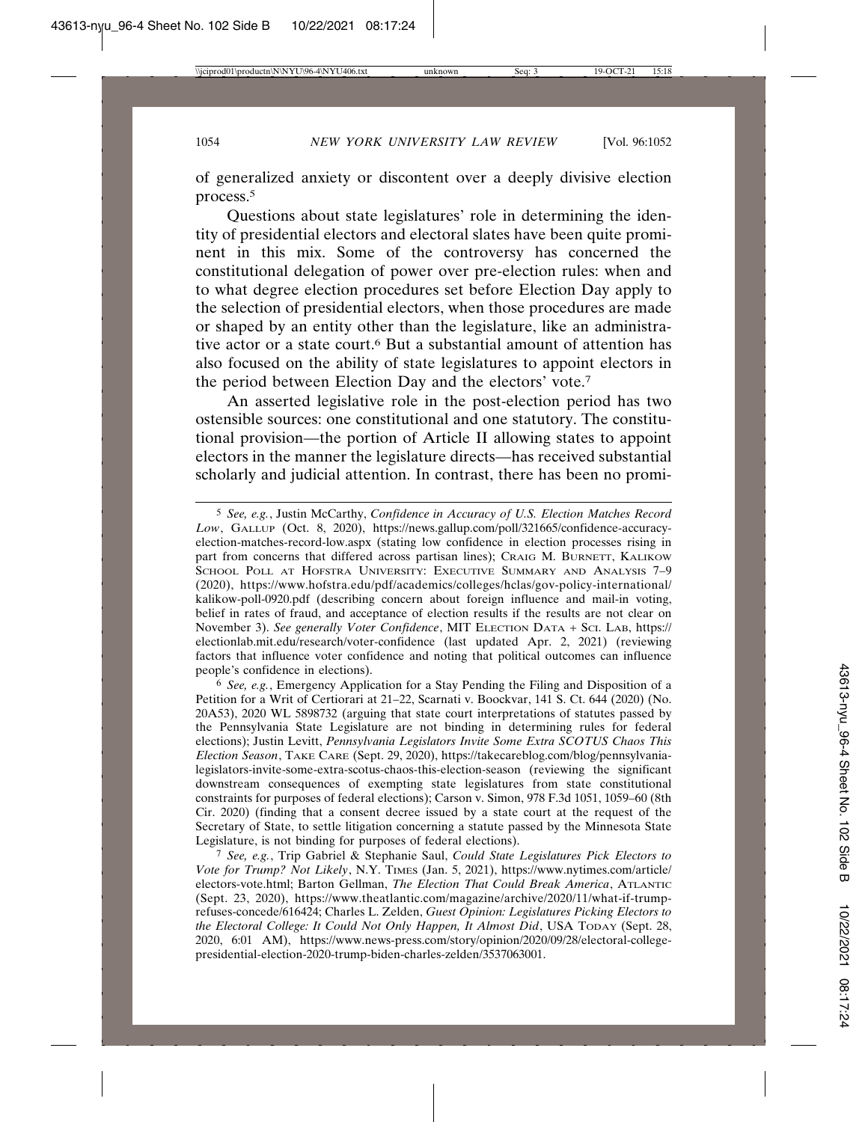of generalized anxiety or discontent over a deeply divisive election process.5

Questions about state legislatures' role in determining the identity of presidential electors and electoral slates have been quite prominent in this mix. Some of the controversy has concerned the constitutional delegation of power over pre-election rules: when and to what degree election procedures set before Election Day apply to the selection of presidential electors, when those procedures are made or shaped by an entity other than the legislature, like an administrative actor or a state court.<sup>6</sup> But a substantial amount of attention has also focused on the ability of state legislatures to appoint electors in the period between Election Day and the electors' vote.7

An asserted legislative role in the post-election period has two ostensible sources: one constitutional and one statutory. The constitutional provision—the portion of Article II allowing states to appoint electors in the manner the legislature directs—has received substantial scholarly and judicial attention. In contrast, there has been no promi-

<sup>5</sup> *See, e.g.*, Justin McCarthy, *Confidence in Accuracy of U.S. Election Matches Record Low*, GALLUP (Oct. 8, 2020), https://news.gallup.com/poll/321665/confidence-accuracyelection-matches-record-low.aspx (stating low confidence in election processes rising in part from concerns that differed across partisan lines); CRAIG M. BURNETT, KALIKOW SCHOOL POLL AT HOFSTRA UNIVERSITY: EXECUTIVE SUMMARY AND ANALYSIS 7–9 (2020), https://www.hofstra.edu/pdf/academics/colleges/hclas/gov-policy-international/ kalikow-poll-0920.pdf (describing concern about foreign influence and mail-in voting, belief in rates of fraud, and acceptance of election results if the results are not clear on November 3). *See generally Voter Confidence*, MIT ELECTION DATA + SCI. LAB, https:// electionlab.mit.edu/research/voter-confidence (last updated Apr. 2, 2021) (reviewing factors that influence voter confidence and noting that political outcomes can influence people's confidence in elections).

<sup>6</sup> *See, e.g.*, Emergency Application for a Stay Pending the Filing and Disposition of a Petition for a Writ of Certiorari at 21–22, Scarnati v. Boockvar, 141 S. Ct. 644 (2020) (No. 20A53), 2020 WL 5898732 (arguing that state court interpretations of statutes passed by the Pennsylvania State Legislature are not binding in determining rules for federal elections); Justin Levitt, *Pennsylvania Legislators Invite Some Extra SCOTUS Chaos This Election Season*, TAKE CARE (Sept. 29, 2020), https://takecareblog.com/blog/pennsylvanialegislators-invite-some-extra-scotus-chaos-this-election-season (reviewing the significant downstream consequences of exempting state legislatures from state constitutional constraints for purposes of federal elections); Carson v. Simon, 978 F.3d 1051, 1059–60 (8th Cir. 2020) (finding that a consent decree issued by a state court at the request of the Secretary of State, to settle litigation concerning a statute passed by the Minnesota State Legislature, is not binding for purposes of federal elections).

<sup>7</sup> *See, e.g.*, Trip Gabriel & Stephanie Saul, *Could State Legislatures Pick Electors to Vote for Trump? Not Likely*, N.Y. TIMES (Jan. 5, 2021), https://www.nytimes.com/article/ electors-vote.html; Barton Gellman, *The Election That Could Break America*, ATLANTIC (Sept. 23, 2020), https://www.theatlantic.com/magazine/archive/2020/11/what-if-trumprefuses-concede/616424; Charles L. Zelden, *Guest Opinion: Legislatures Picking Electors to the Electoral College: It Could Not Only Happen, It Almost Did*, USA TODAY (Sept. 28, 2020, 6:01 AM), https://www.news-press.com/story/opinion/2020/09/28/electoral-collegepresidential-election-2020-trump-biden-charles-zelden/3537063001.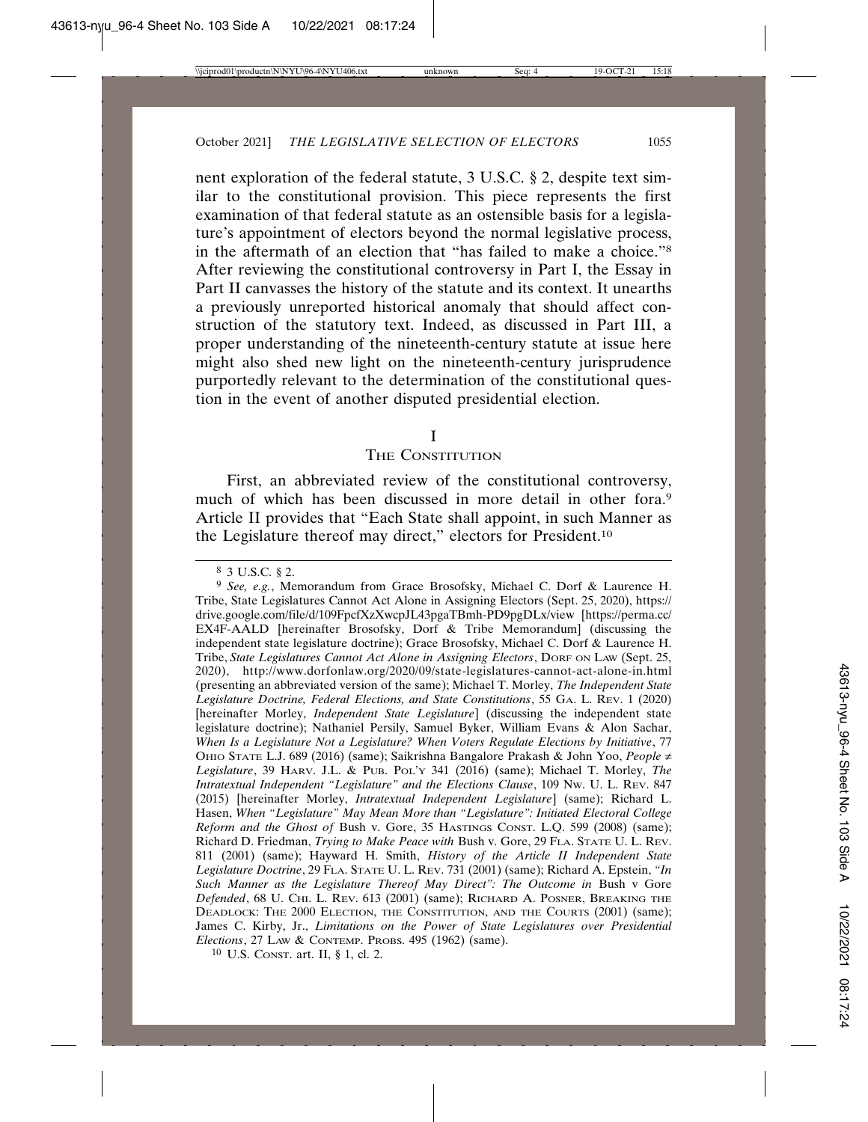nent exploration of the federal statute, 3 U.S.C. § 2, despite text similar to the constitutional provision. This piece represents the first examination of that federal statute as an ostensible basis for a legislature's appointment of electors beyond the normal legislative process, in the aftermath of an election that "has failed to make a choice."8 After reviewing the constitutional controversy in Part I, the Essay in Part II canvasses the history of the statute and its context. It unearths a previously unreported historical anomaly that should affect construction of the statutory text. Indeed, as discussed in Part III, a proper understanding of the nineteenth-century statute at issue here might also shed new light on the nineteenth-century jurisprudence purportedly relevant to the determination of the constitutional question in the event of another disputed presidential election.

#### I

#### THE CONSTITUTION

First, an abbreviated review of the constitutional controversy, much of which has been discussed in more detail in other fora.<sup>9</sup> Article II provides that "Each State shall appoint, in such Manner as the Legislature thereof may direct," electors for President.<sup>10</sup>

10 U.S. CONST. art. II, § 1, cl. 2.

<sup>8</sup> 3 U.S.C. § 2.

<sup>9</sup> *See, e.g.*, Memorandum from Grace Brosofsky, Michael C. Dorf & Laurence H. Tribe, State Legislatures Cannot Act Alone in Assigning Electors (Sept. 25, 2020), https:// drive.google.com/file/d/109FpcfXzXwcpJL43pgaTBmh-PD9pgDLx/view [https://perma.cc/ EX4F-AALD [hereinafter Brosofsky, Dorf & Tribe Memorandum] (discussing the independent state legislature doctrine); Grace Brosofsky, Michael C. Dorf & Laurence H. Tribe, *State Legislatures Cannot Act Alone in Assigning Electors*, DORF ON LAW (Sept. 25, 2020), http://www.dorfonlaw.org/2020/09/state-legislatures-cannot-act-alone-in.html (presenting an abbreviated version of the same); Michael T. Morley, *The Independent State Legislature Doctrine, Federal Elections, and State Constitutions*, 55 GA. L. REV. 1 (2020) [hereinafter Morley, *Independent State Legislature*] (discussing the independent state legislature doctrine); Nathaniel Persily, Samuel Byker, William Evans & Alon Sachar, *When Is a Legislature Not a Legislature? When Voters Regulate Elections by Initiative*, 77 OHIO STATE L.J. 689 (2016) (same); Saikrishna Bangalore Prakash & John Yoo, *People* ≠ *Legislature*, 39 HARV. J.L. & PUB. POL'Y 341 (2016) (same); Michael T. Morley, *The Intratextual Independent "Legislature" and the Elections Clause*, 109 NW. U. L. REV. 847 (2015) [hereinafter Morley, *Intratextual Independent Legislature*] (same); Richard L. Hasen, *When "Legislature" May Mean More than "Legislature": Initiated Electoral College Reform and the Ghost of* Bush v. Gore, 35 HASTINGS CONST. L.Q. 599 (2008) (same); Richard D. Friedman, *Trying to Make Peace with* Bush v. Gore, 29 FLA. STATE U. L. REV. 811 (2001) (same); Hayward H. Smith, *History of the Article II Independent State Legislature Doctrine*, 29 FLA. STATE U. L. REV. 731 (2001) (same); Richard A. Epstein, *"In* Such Manner as the Legislature Thereof May Direct": The Outcome in Bush v Gore *Defended*, 68 U. CHI. L. REV. 613 (2001) (same); RICHARD A. POSNER, BREAKING THE DEADLOCK: THE 2000 ELECTION, THE CONSTITUTION, AND THE COURTS (2001) (same); James C. Kirby, Jr., *Limitations on the Power of State Legislatures over Presidential Elections*, 27 LAW & CONTEMP. PROBS. 495 (1962) (same).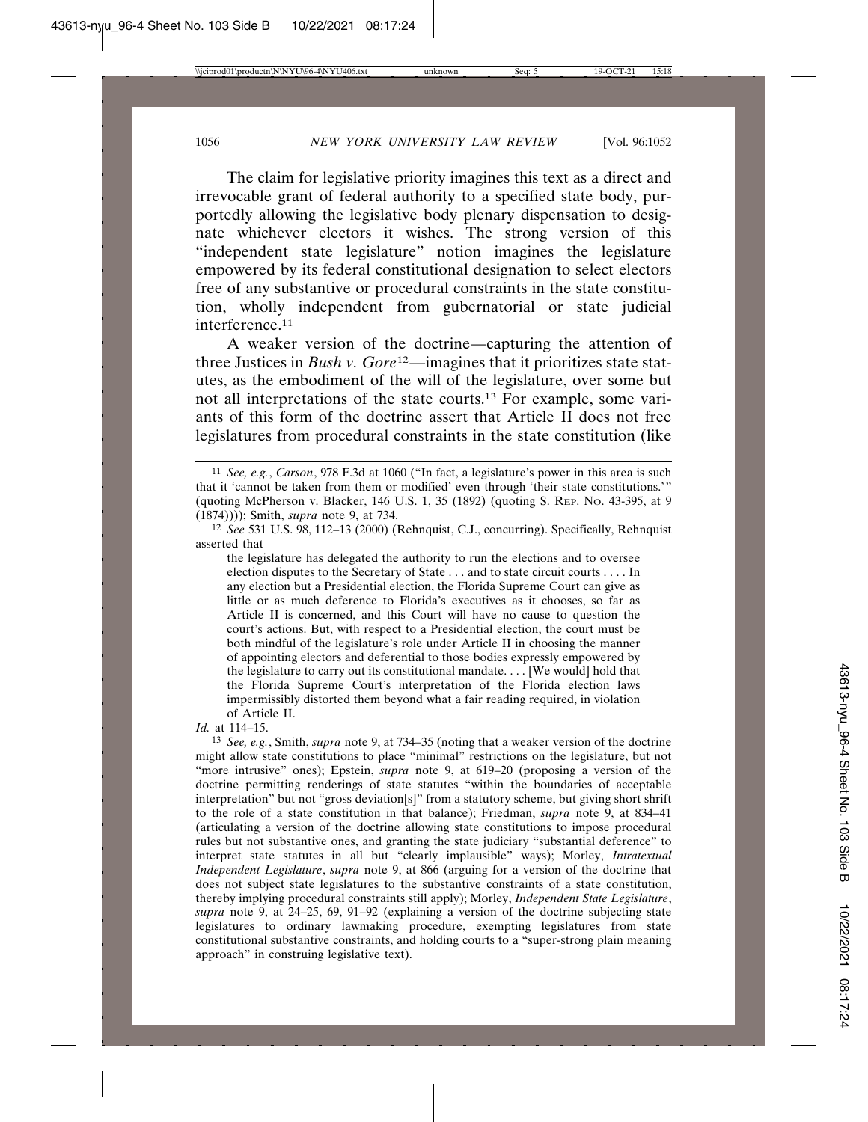The claim for legislative priority imagines this text as a direct and irrevocable grant of federal authority to a specified state body, purportedly allowing the legislative body plenary dispensation to designate whichever electors it wishes. The strong version of this "independent state legislature" notion imagines the legislature empowered by its federal constitutional designation to select electors free of any substantive or procedural constraints in the state constitution, wholly independent from gubernatorial or state judicial interference.11

A weaker version of the doctrine—capturing the attention of three Justices in *Bush v. Gore*12—imagines that it prioritizes state statutes, as the embodiment of the will of the legislature, over some but not all interpretations of the state courts.13 For example, some variants of this form of the doctrine assert that Article II does not free legislatures from procedural constraints in the state constitution (like

the legislature has delegated the authority to run the elections and to oversee election disputes to the Secretary of State . . . and to state circuit courts . . . . In any election but a Presidential election, the Florida Supreme Court can give as little or as much deference to Florida's executives as it chooses, so far as Article II is concerned, and this Court will have no cause to question the court's actions. But, with respect to a Presidential election, the court must be both mindful of the legislature's role under Article II in choosing the manner of appointing electors and deferential to those bodies expressly empowered by the legislature to carry out its constitutional mandate. . . . [We would] hold that the Florida Supreme Court's interpretation of the Florida election laws impermissibly distorted them beyond what a fair reading required, in violation of Article II.

*Id.* at 114–15.

13 *See, e.g.*, Smith, *supra* note 9, at 734–35 (noting that a weaker version of the doctrine might allow state constitutions to place "minimal" restrictions on the legislature, but not "more intrusive" ones); Epstein, *supra* note 9, at 619–20 (proposing a version of the doctrine permitting renderings of state statutes "within the boundaries of acceptable interpretation" but not "gross deviation[s]" from a statutory scheme, but giving short shrift to the role of a state constitution in that balance); Friedman, *supra* note 9, at 834–41 (articulating a version of the doctrine allowing state constitutions to impose procedural rules but not substantive ones, and granting the state judiciary "substantial deference" to interpret state statutes in all but "clearly implausible" ways); Morley, *Intratextual Independent Legislature*, *supra* note 9, at 866 (arguing for a version of the doctrine that does not subject state legislatures to the substantive constraints of a state constitution, thereby implying procedural constraints still apply); Morley, *Independent State Legislature*, *supra* note 9, at 24–25, 69, 91–92 (explaining a version of the doctrine subjecting state legislatures to ordinary lawmaking procedure, exempting legislatures from state constitutional substantive constraints, and holding courts to a "super-strong plain meaning approach" in construing legislative text).

<sup>11</sup> *See, e.g.*, *Carson*, 978 F.3d at 1060 ("In fact, a legislature's power in this area is such that it 'cannot be taken from them or modified' even through 'their state constitutions.'" (quoting McPherson v. Blacker, 146 U.S. 1, 35 (1892) (quoting S. REP. NO. 43-395, at 9 (1874)))); Smith, *supra* note 9, at 734.

<sup>12</sup> *See* 531 U.S. 98, 112–13 (2000) (Rehnquist, C.J., concurring). Specifically, Rehnquist asserted that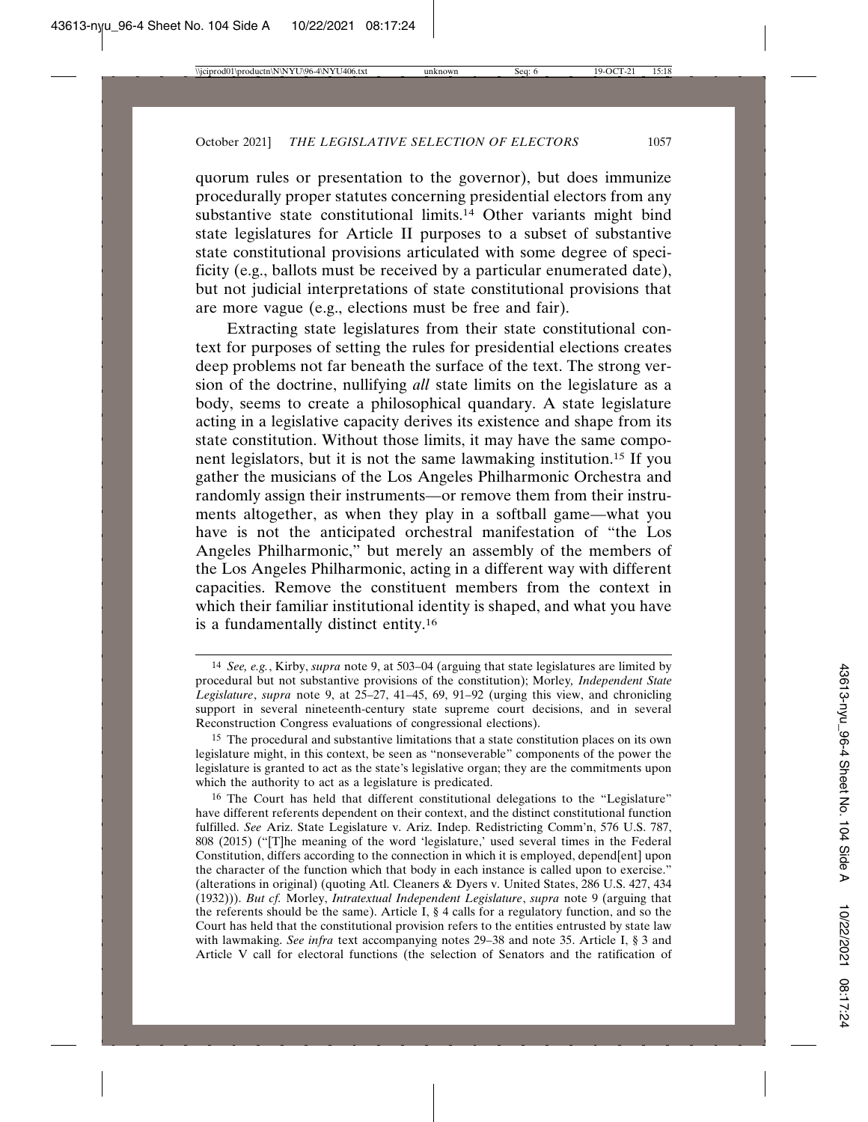quorum rules or presentation to the governor), but does immunize procedurally proper statutes concerning presidential electors from any substantive state constitutional limits.<sup>14</sup> Other variants might bind state legislatures for Article II purposes to a subset of substantive state constitutional provisions articulated with some degree of specificity (e.g., ballots must be received by a particular enumerated date), but not judicial interpretations of state constitutional provisions that are more vague (e.g., elections must be free and fair).

Extracting state legislatures from their state constitutional context for purposes of setting the rules for presidential elections creates deep problems not far beneath the surface of the text. The strong version of the doctrine, nullifying *all* state limits on the legislature as a body, seems to create a philosophical quandary. A state legislature acting in a legislative capacity derives its existence and shape from its state constitution. Without those limits, it may have the same component legislators, but it is not the same lawmaking institution.15 If you gather the musicians of the Los Angeles Philharmonic Orchestra and randomly assign their instruments—or remove them from their instruments altogether, as when they play in a softball game—what you have is not the anticipated orchestral manifestation of "the Los Angeles Philharmonic," but merely an assembly of the members of the Los Angeles Philharmonic, acting in a different way with different capacities. Remove the constituent members from the context in which their familiar institutional identity is shaped, and what you have is a fundamentally distinct entity.16

<sup>14</sup> *See, e.g.*, Kirby, *supra* note 9, at 503–04 (arguing that state legislatures are limited by procedural but not substantive provisions of the constitution); Morley*, Independent State Legislature*, *supra* note 9, at 25–27, 41–45, 69, 91–92 (urging this view, and chronicling support in several nineteenth-century state supreme court decisions, and in several Reconstruction Congress evaluations of congressional elections).

<sup>15</sup> The procedural and substantive limitations that a state constitution places on its own legislature might, in this context, be seen as "nonseverable" components of the power the legislature is granted to act as the state's legislative organ; they are the commitments upon which the authority to act as a legislature is predicated.

<sup>16</sup> The Court has held that different constitutional delegations to the "Legislature" have different referents dependent on their context, and the distinct constitutional function fulfilled. *See* Ariz. State Legislature v. Ariz. Indep. Redistricting Comm'n, 576 U.S. 787, 808 (2015) ("[T]he meaning of the word 'legislature,' used several times in the Federal Constitution, differs according to the connection in which it is employed, depend[ent] upon the character of the function which that body in each instance is called upon to exercise." (alterations in original) (quoting Atl. Cleaners & Dyers v. United States, 286 U.S. 427, 434 (1932))). *But cf.* Morley, *Intratextual Independent Legislature*, *supra* note 9 (arguing that the referents should be the same). Article I, § 4 calls for a regulatory function, and so the Court has held that the constitutional provision refers to the entities entrusted by state law with lawmaking. *See infra* text accompanying notes 29–38 and note 35. Article I, § 3 and Article V call for electoral functions (the selection of Senators and the ratification of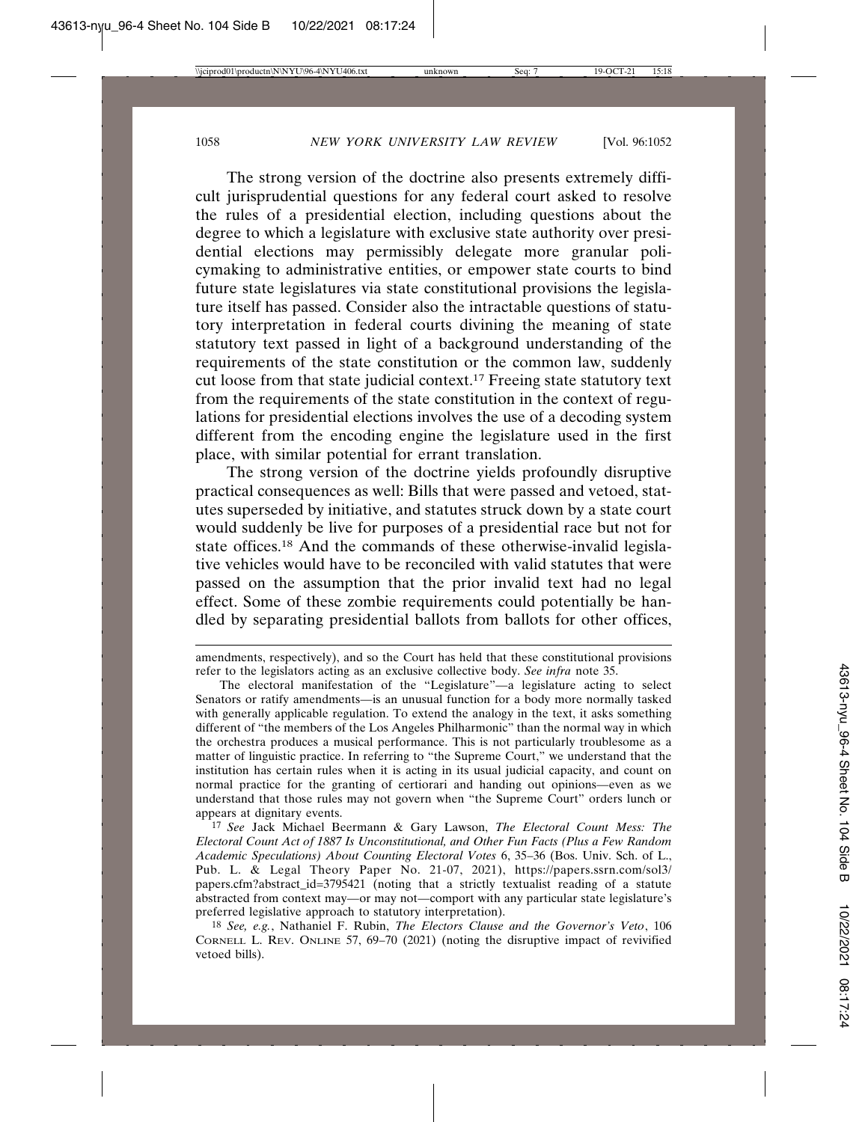The strong version of the doctrine also presents extremely difficult jurisprudential questions for any federal court asked to resolve the rules of a presidential election, including questions about the degree to which a legislature with exclusive state authority over presidential elections may permissibly delegate more granular policymaking to administrative entities, or empower state courts to bind future state legislatures via state constitutional provisions the legislature itself has passed. Consider also the intractable questions of statutory interpretation in federal courts divining the meaning of state statutory text passed in light of a background understanding of the requirements of the state constitution or the common law, suddenly cut loose from that state judicial context.17 Freeing state statutory text from the requirements of the state constitution in the context of regulations for presidential elections involves the use of a decoding system different from the encoding engine the legislature used in the first place, with similar potential for errant translation.

The strong version of the doctrine yields profoundly disruptive practical consequences as well: Bills that were passed and vetoed, statutes superseded by initiative, and statutes struck down by a state court would suddenly be live for purposes of a presidential race but not for state offices.<sup>18</sup> And the commands of these otherwise-invalid legislative vehicles would have to be reconciled with valid statutes that were passed on the assumption that the prior invalid text had no legal effect. Some of these zombie requirements could potentially be handled by separating presidential ballots from ballots for other offices,

17 *See* Jack Michael Beermann & Gary Lawson, *The Electoral Count Mess: The Electoral Count Act of 1887 Is Unconstitutional, and Other Fun Facts (Plus a Few Random Academic Speculations) About Counting Electoral Votes* 6, 35–36 (Bos. Univ. Sch. of L., Pub. L. & Legal Theory Paper No. 21-07, 2021), https://papers.ssrn.com/sol3/ papers.cfm?abstract\_id=3795421 (noting that a strictly textualist reading of a statute abstracted from context may—or may not—comport with any particular state legislature's preferred legislative approach to statutory interpretation).

18 *See, e.g.*, Nathaniel F. Rubin, *The Electors Clause and the Governor's Veto*, 106 CORNELL L. REV. ONLINE 57, 69–70 (2021) (noting the disruptive impact of revivified vetoed bills).

amendments, respectively), and so the Court has held that these constitutional provisions refer to the legislators acting as an exclusive collective body. *See infra* note 35.

The electoral manifestation of the "Legislature"—a legislature acting to select Senators or ratify amendments—is an unusual function for a body more normally tasked with generally applicable regulation. To extend the analogy in the text, it asks something different of "the members of the Los Angeles Philharmonic" than the normal way in which the orchestra produces a musical performance. This is not particularly troublesome as a matter of linguistic practice. In referring to "the Supreme Court," we understand that the institution has certain rules when it is acting in its usual judicial capacity, and count on normal practice for the granting of certiorari and handing out opinions—even as we understand that those rules may not govern when "the Supreme Court" orders lunch or appears at dignitary events.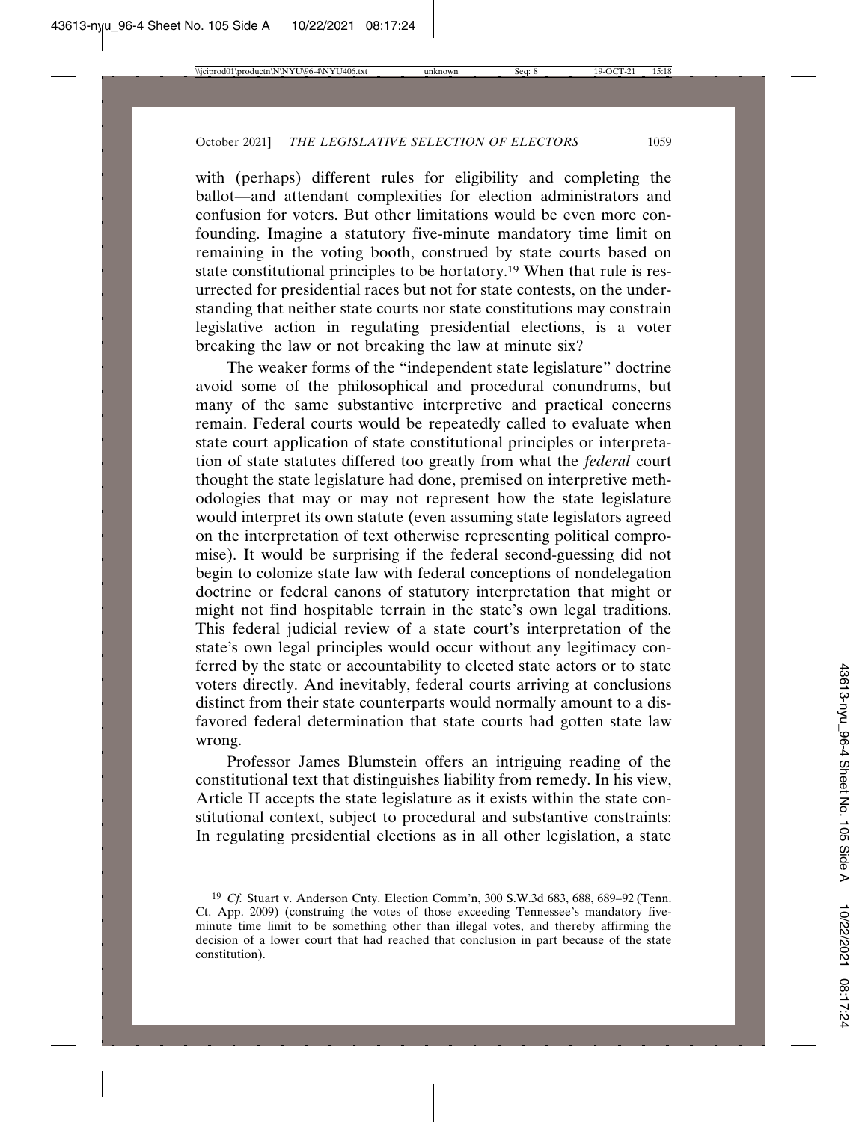with (perhaps) different rules for eligibility and completing the ballot—and attendant complexities for election administrators and confusion for voters. But other limitations would be even more confounding. Imagine a statutory five-minute mandatory time limit on remaining in the voting booth, construed by state courts based on state constitutional principles to be hortatory.19 When that rule is resurrected for presidential races but not for state contests, on the understanding that neither state courts nor state constitutions may constrain legislative action in regulating presidential elections, is a voter breaking the law or not breaking the law at minute six?

The weaker forms of the "independent state legislature" doctrine avoid some of the philosophical and procedural conundrums, but many of the same substantive interpretive and practical concerns remain. Federal courts would be repeatedly called to evaluate when state court application of state constitutional principles or interpretation of state statutes differed too greatly from what the *federal* court thought the state legislature had done, premised on interpretive methodologies that may or may not represent how the state legislature would interpret its own statute (even assuming state legislators agreed on the interpretation of text otherwise representing political compromise). It would be surprising if the federal second-guessing did not begin to colonize state law with federal conceptions of nondelegation doctrine or federal canons of statutory interpretation that might or might not find hospitable terrain in the state's own legal traditions. This federal judicial review of a state court's interpretation of the state's own legal principles would occur without any legitimacy conferred by the state or accountability to elected state actors or to state voters directly. And inevitably, federal courts arriving at conclusions distinct from their state counterparts would normally amount to a disfavored federal determination that state courts had gotten state law wrong.

Professor James Blumstein offers an intriguing reading of the constitutional text that distinguishes liability from remedy. In his view, Article II accepts the state legislature as it exists within the state constitutional context, subject to procedural and substantive constraints: In regulating presidential elections as in all other legislation, a state

<sup>19</sup> *Cf.* Stuart v. Anderson Cnty. Election Comm'n, 300 S.W.3d 683, 688, 689–92 (Tenn. Ct. App. 2009) (construing the votes of those exceeding Tennessee's mandatory fiveminute time limit to be something other than illegal votes, and thereby affirming the decision of a lower court that had reached that conclusion in part because of the state constitution).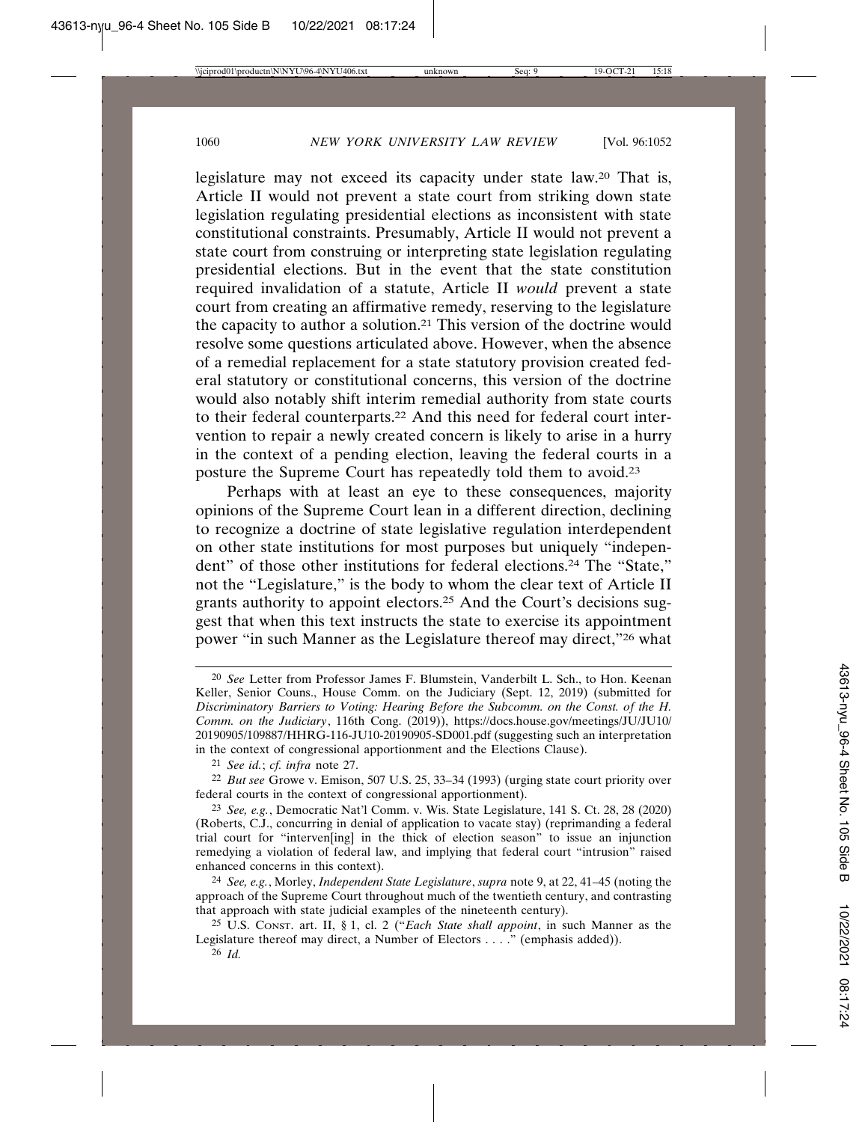legislature may not exceed its capacity under state law.20 That is, Article II would not prevent a state court from striking down state legislation regulating presidential elections as inconsistent with state constitutional constraints. Presumably, Article II would not prevent a state court from construing or interpreting state legislation regulating presidential elections. But in the event that the state constitution required invalidation of a statute, Article II *would* prevent a state court from creating an affirmative remedy, reserving to the legislature the capacity to author a solution.21 This version of the doctrine would resolve some questions articulated above. However, when the absence of a remedial replacement for a state statutory provision created federal statutory or constitutional concerns, this version of the doctrine would also notably shift interim remedial authority from state courts to their federal counterparts.22 And this need for federal court intervention to repair a newly created concern is likely to arise in a hurry in the context of a pending election, leaving the federal courts in a posture the Supreme Court has repeatedly told them to avoid.23

Perhaps with at least an eye to these consequences, majority opinions of the Supreme Court lean in a different direction, declining to recognize a doctrine of state legislative regulation interdependent on other state institutions for most purposes but uniquely "independent" of those other institutions for federal elections.24 The "State," not the "Legislature," is the body to whom the clear text of Article II grants authority to appoint electors.25 And the Court's decisions suggest that when this text instructs the state to exercise its appointment power "in such Manner as the Legislature thereof may direct,"26 what

<sup>20</sup> *See* Letter from Professor James F. Blumstein, Vanderbilt L. Sch., to Hon. Keenan Keller, Senior Couns., House Comm. on the Judiciary (Sept. 12, 2019) (submitted for *Discriminatory Barriers to Voting: Hearing Before the Subcomm. on the Const. of the H. Comm. on the Judiciary*, 116th Cong. (2019)), https://docs.house.gov/meetings/JU/JU10/ 20190905/109887/HHRG-116-JU10-20190905-SD001.pdf (suggesting such an interpretation in the context of congressional apportionment and the Elections Clause).

<sup>21</sup> *See id.*; *cf. infra* note 27.

<sup>22</sup> *But see* Growe v. Emison, 507 U.S. 25, 33–34 (1993) (urging state court priority over federal courts in the context of congressional apportionment).

<sup>23</sup> *See, e.g.*, Democratic Nat'l Comm. v. Wis. State Legislature, 141 S. Ct. 28, 28 (2020) (Roberts, C.J., concurring in denial of application to vacate stay) (reprimanding a federal trial court for "interven[ing] in the thick of election season" to issue an injunction remedying a violation of federal law, and implying that federal court "intrusion" raised enhanced concerns in this context).

<sup>24</sup> *See, e.g.*, Morley, *Independent State Legislature*, *supra* note 9, at 22, 41–45 (noting the approach of the Supreme Court throughout much of the twentieth century, and contrasting that approach with state judicial examples of the nineteenth century).

<sup>25</sup> U.S. CONST. art. II, § 1, cl. 2 ("*Each State shall appoint*, in such Manner as the Legislature thereof may direct, a Number of Electors . . . ." (emphasis added)).

<sup>26</sup> *Id.*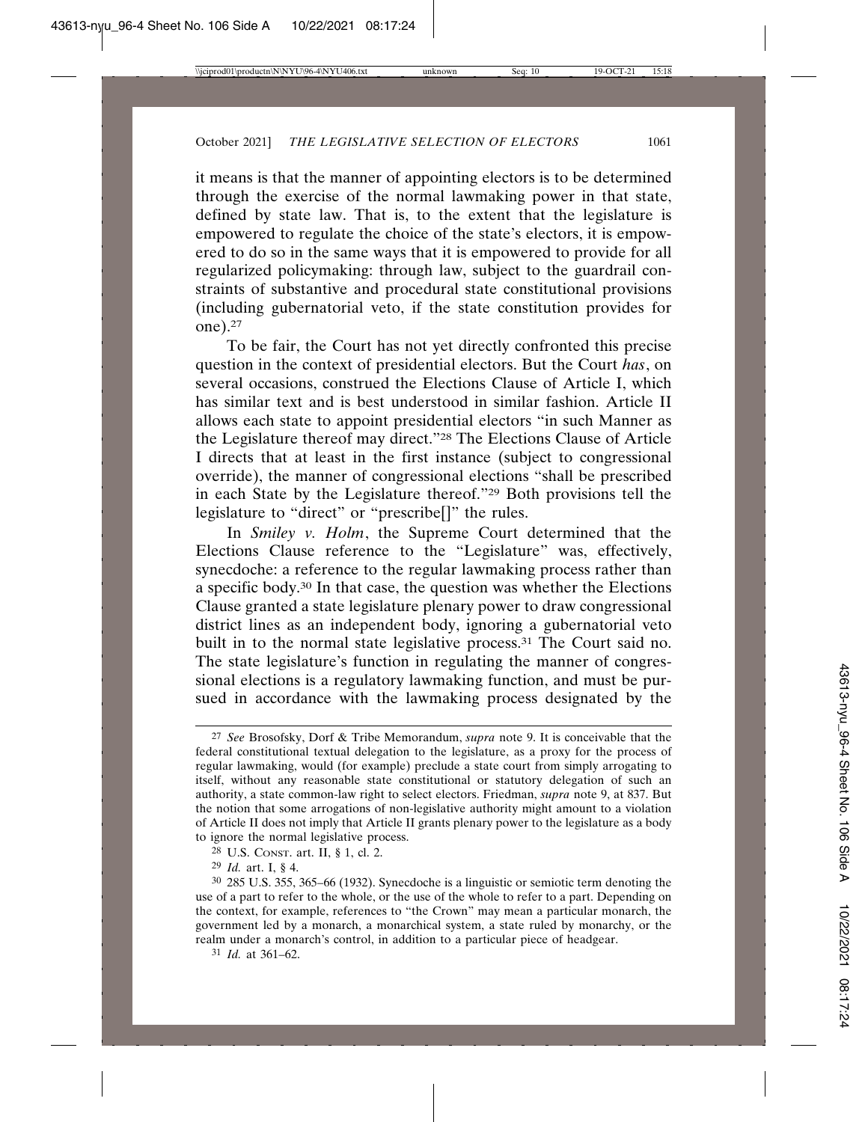it means is that the manner of appointing electors is to be determined through the exercise of the normal lawmaking power in that state, defined by state law. That is, to the extent that the legislature is empowered to regulate the choice of the state's electors, it is empowered to do so in the same ways that it is empowered to provide for all regularized policymaking: through law, subject to the guardrail constraints of substantive and procedural state constitutional provisions (including gubernatorial veto, if the state constitution provides for one).27

To be fair, the Court has not yet directly confronted this precise question in the context of presidential electors. But the Court *has*, on several occasions, construed the Elections Clause of Article I, which has similar text and is best understood in similar fashion. Article II allows each state to appoint presidential electors "in such Manner as the Legislature thereof may direct."28 The Elections Clause of Article I directs that at least in the first instance (subject to congressional override), the manner of congressional elections "shall be prescribed in each State by the Legislature thereof."29 Both provisions tell the legislature to "direct" or "prescribe[]" the rules.

In *Smiley v. Holm*, the Supreme Court determined that the Elections Clause reference to the "Legislature" was, effectively, synecdoche: a reference to the regular lawmaking process rather than a specific body.30 In that case, the question was whether the Elections Clause granted a state legislature plenary power to draw congressional district lines as an independent body, ignoring a gubernatorial veto built in to the normal state legislative process.31 The Court said no. The state legislature's function in regulating the manner of congressional elections is a regulatory lawmaking function, and must be pursued in accordance with the lawmaking process designated by the

<sup>27</sup> *See* Brosofsky, Dorf & Tribe Memorandum, *supra* note 9. It is conceivable that the federal constitutional textual delegation to the legislature, as a proxy for the process of regular lawmaking, would (for example) preclude a state court from simply arrogating to itself, without any reasonable state constitutional or statutory delegation of such an authority, a state common-law right to select electors. Friedman, *supra* note 9, at 837. But the notion that some arrogations of non-legislative authority might amount to a violation of Article II does not imply that Article II grants plenary power to the legislature as a body to ignore the normal legislative process.

<sup>28</sup> U.S. CONST. art. II, § 1, cl. 2.

<sup>29</sup> *Id.* art. I, § 4.

<sup>30</sup> 285 U.S. 355, 365–66 (1932). Synecdoche is a linguistic or semiotic term denoting the use of a part to refer to the whole, or the use of the whole to refer to a part. Depending on the context, for example, references to "the Crown" may mean a particular monarch, the government led by a monarch, a monarchical system, a state ruled by monarchy, or the realm under a monarch's control, in addition to a particular piece of headgear.

<sup>31</sup> *Id.* at 361–62.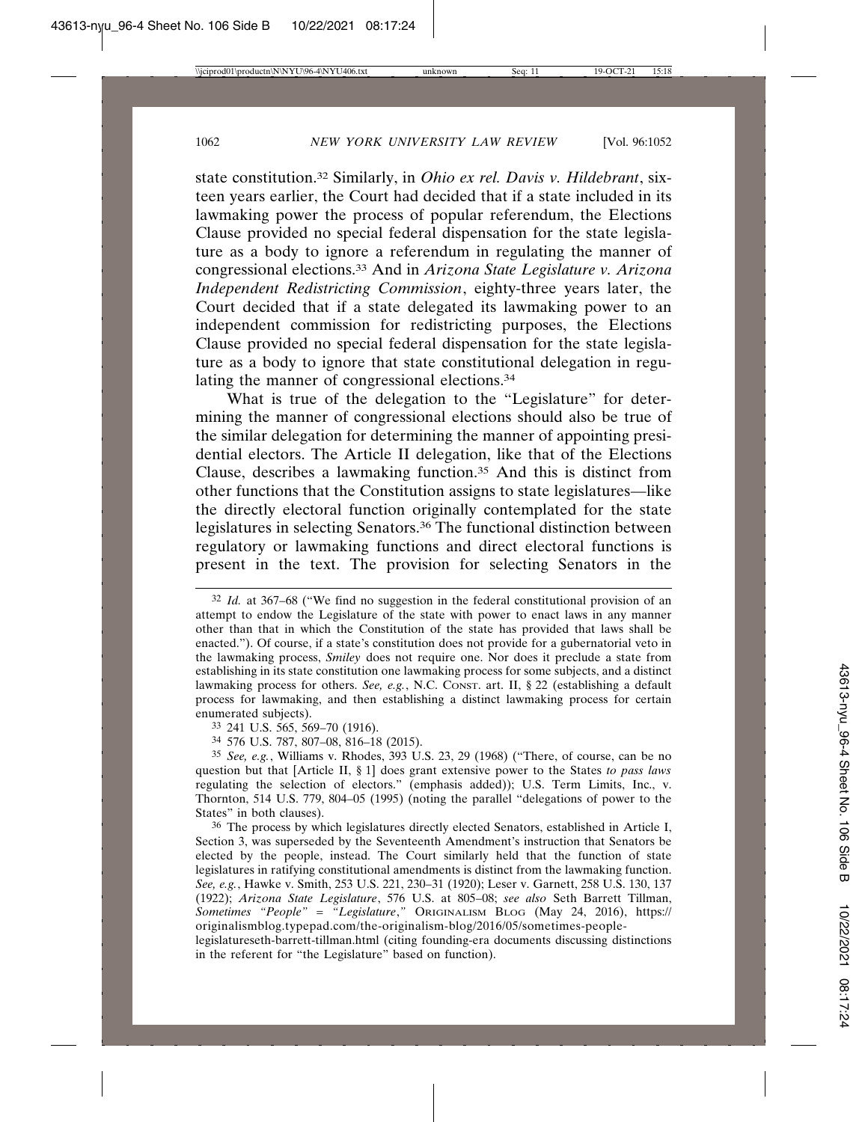state constitution.32 Similarly, in *Ohio ex rel. Davis v. Hildebrant*, sixteen years earlier, the Court had decided that if a state included in its lawmaking power the process of popular referendum, the Elections Clause provided no special federal dispensation for the state legislature as a body to ignore a referendum in regulating the manner of congressional elections.33 And in *Arizona State Legislature v. Arizona Independent Redistricting Commission*, eighty-three years later, the Court decided that if a state delegated its lawmaking power to an independent commission for redistricting purposes, the Elections Clause provided no special federal dispensation for the state legislature as a body to ignore that state constitutional delegation in regulating the manner of congressional elections.<sup>34</sup>

What is true of the delegation to the "Legislature" for determining the manner of congressional elections should also be true of the similar delegation for determining the manner of appointing presidential electors. The Article II delegation, like that of the Elections Clause, describes a lawmaking function.35 And this is distinct from other functions that the Constitution assigns to state legislatures—like the directly electoral function originally contemplated for the state legislatures in selecting Senators.36 The functional distinction between regulatory or lawmaking functions and direct electoral functions is present in the text. The provision for selecting Senators in the

34 576 U.S. 787, 807–08, 816–18 (2015).

<sup>32</sup> *Id.* at 367–68 ("We find no suggestion in the federal constitutional provision of an attempt to endow the Legislature of the state with power to enact laws in any manner other than that in which the Constitution of the state has provided that laws shall be enacted."). Of course, if a state's constitution does not provide for a gubernatorial veto in the lawmaking process, *Smiley* does not require one. Nor does it preclude a state from establishing in its state constitution one lawmaking process for some subjects, and a distinct lawmaking process for others. *See, e.g.*, N.C. CONST. art. II, § 22 (establishing a default process for lawmaking, and then establishing a distinct lawmaking process for certain enumerated subjects).

<sup>33</sup> 241 U.S. 565, 569–70 (1916).

<sup>35</sup> *See, e.g.*, Williams v. Rhodes, 393 U.S. 23, 29 (1968) ("There, of course, can be no question but that [Article II, § 1] does grant extensive power to the States *to pass laws* regulating the selection of electors." (emphasis added)); U.S. Term Limits, Inc., v. Thornton, 514 U.S. 779, 804–05 (1995) (noting the parallel "delegations of power to the States" in both clauses).

<sup>36</sup> The process by which legislatures directly elected Senators, established in Article I, Section 3, was superseded by the Seventeenth Amendment's instruction that Senators be elected by the people, instead. The Court similarly held that the function of state legislatures in ratifying constitutional amendments is distinct from the lawmaking function. *See, e.g.*, Hawke v. Smith, 253 U.S. 221, 230–31 (1920); Leser v. Garnett, 258 U.S. 130, 137 (1922); *Arizona State Legislature*, 576 U.S. at 805–08; *see also* Seth Barrett Tillman, *Sometimes "People" = "Legislature*,*"* ORIGINALISM BLOG (May 24, 2016), https:// originalismblog.typepad.com/the-originalism-blog/2016/05/sometimes-peoplelegislatureseth-barrett-tillman.html (citing founding-era documents discussing distinctions in the referent for "the Legislature" based on function).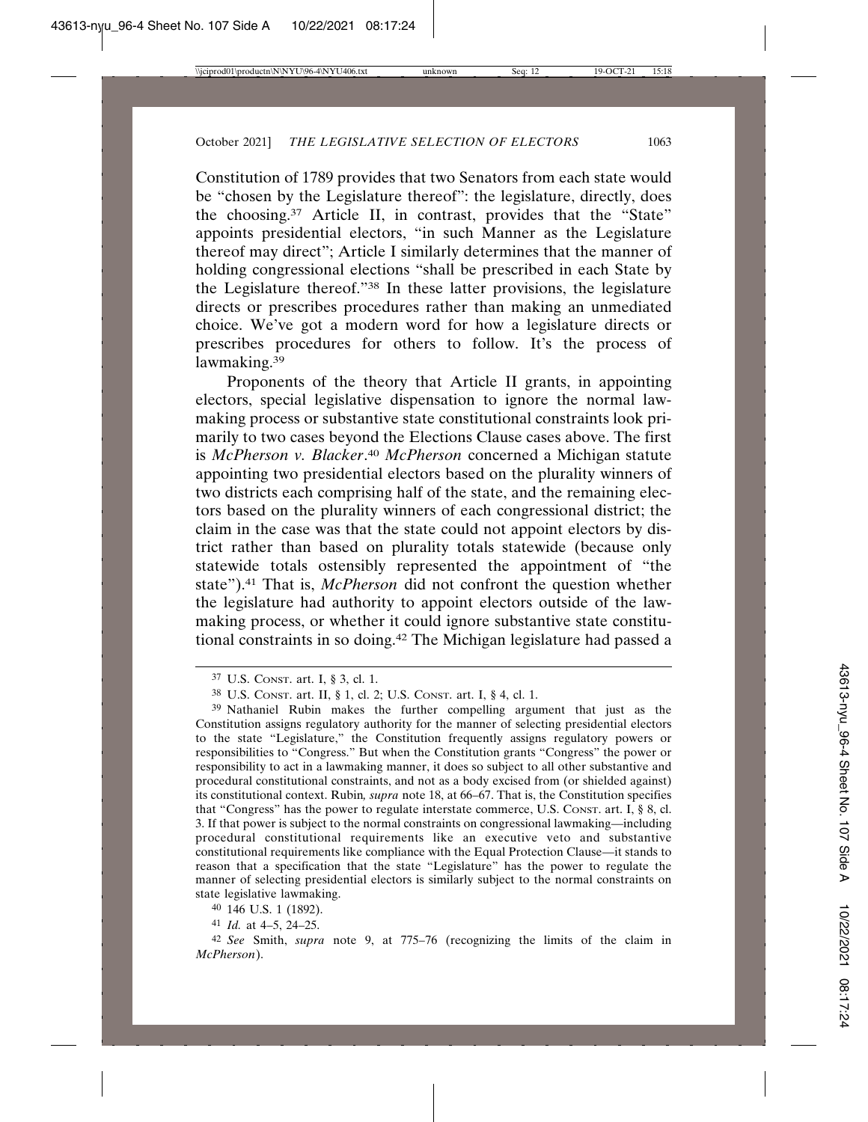Constitution of 1789 provides that two Senators from each state would be "chosen by the Legislature thereof": the legislature, directly, does the choosing.37 Article II, in contrast, provides that the "State" appoints presidential electors, "in such Manner as the Legislature thereof may direct"; Article I similarly determines that the manner of holding congressional elections "shall be prescribed in each State by the Legislature thereof."38 In these latter provisions, the legislature directs or prescribes procedures rather than making an unmediated choice. We've got a modern word for how a legislature directs or prescribes procedures for others to follow. It's the process of lawmaking.39

Proponents of the theory that Article II grants, in appointing electors, special legislative dispensation to ignore the normal lawmaking process or substantive state constitutional constraints look primarily to two cases beyond the Elections Clause cases above. The first is *McPherson v. Blacker*. <sup>40</sup> *McPherson* concerned a Michigan statute appointing two presidential electors based on the plurality winners of two districts each comprising half of the state, and the remaining electors based on the plurality winners of each congressional district; the claim in the case was that the state could not appoint electors by district rather than based on plurality totals statewide (because only statewide totals ostensibly represented the appointment of "the state").41 That is, *McPherson* did not confront the question whether the legislature had authority to appoint electors outside of the lawmaking process, or whether it could ignore substantive state constitutional constraints in so doing.42 The Michigan legislature had passed a

40 146 U.S. 1 (1892).

41 *Id.* at 4–5, 24–25.

<sup>37</sup> U.S. CONST. art. I, § 3, cl. 1.

<sup>38</sup> U.S. CONST. art. II, § 1, cl. 2; U.S. CONST. art. I, § 4, cl. 1.

<sup>39</sup> Nathaniel Rubin makes the further compelling argument that just as the Constitution assigns regulatory authority for the manner of selecting presidential electors to the state "Legislature," the Constitution frequently assigns regulatory powers or responsibilities to "Congress." But when the Constitution grants "Congress" the power or responsibility to act in a lawmaking manner, it does so subject to all other substantive and procedural constitutional constraints, and not as a body excised from (or shielded against) its constitutional context. Rubin*, supra* note 18, at 66–67. That is, the Constitution specifies that "Congress" has the power to regulate interstate commerce, U.S. CONST. art. I, § 8, cl. 3. If that power is subject to the normal constraints on congressional lawmaking—including procedural constitutional requirements like an executive veto and substantive constitutional requirements like compliance with the Equal Protection Clause—it stands to reason that a specification that the state "Legislature" has the power to regulate the manner of selecting presidential electors is similarly subject to the normal constraints on state legislative lawmaking.

<sup>42</sup> *See* Smith, *supra* note 9, at 775–76 (recognizing the limits of the claim in *McPherson*).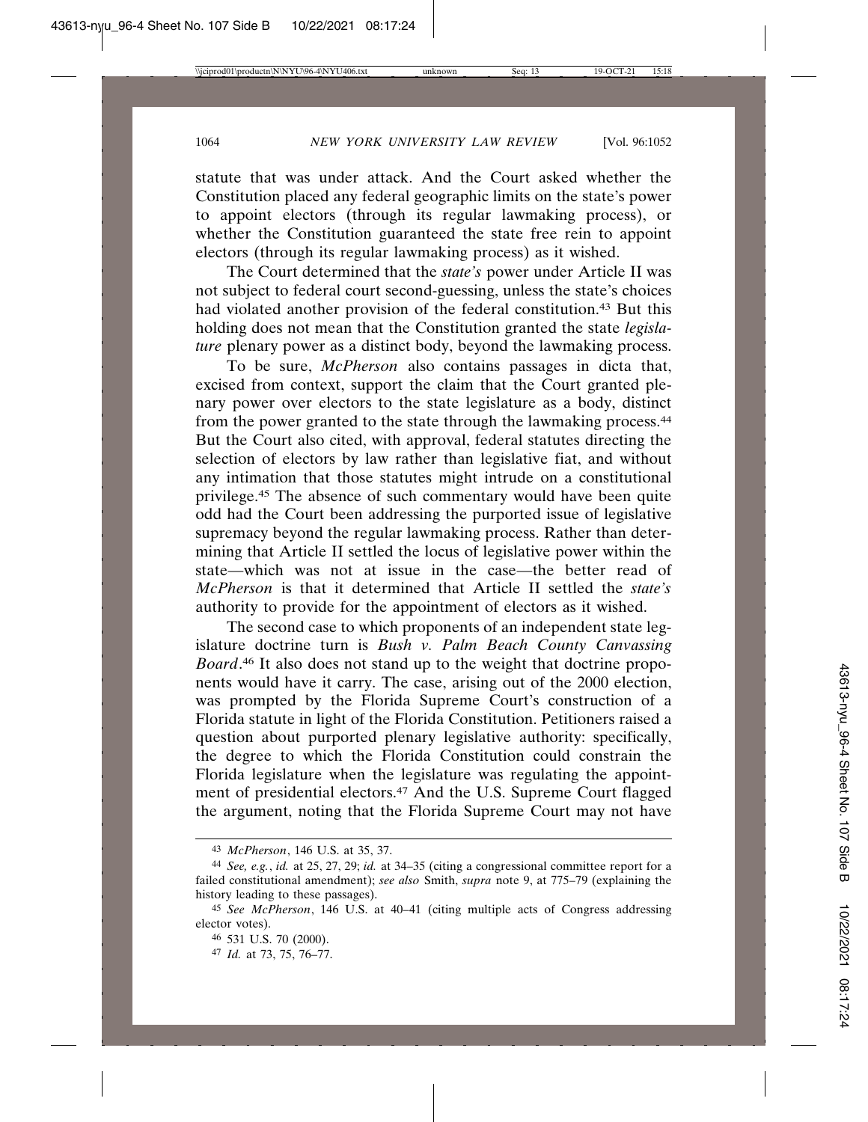statute that was under attack. And the Court asked whether the Constitution placed any federal geographic limits on the state's power to appoint electors (through its regular lawmaking process), or whether the Constitution guaranteed the state free rein to appoint electors (through its regular lawmaking process) as it wished.

The Court determined that the *state's* power under Article II was not subject to federal court second-guessing, unless the state's choices had violated another provision of the federal constitution.43 But this holding does not mean that the Constitution granted the state *legislature* plenary power as a distinct body, beyond the lawmaking process.

To be sure, *McPherson* also contains passages in dicta that, excised from context, support the claim that the Court granted plenary power over electors to the state legislature as a body, distinct from the power granted to the state through the lawmaking process.44 But the Court also cited, with approval, federal statutes directing the selection of electors by law rather than legislative fiat, and without any intimation that those statutes might intrude on a constitutional privilege.45 The absence of such commentary would have been quite odd had the Court been addressing the purported issue of legislative supremacy beyond the regular lawmaking process. Rather than determining that Article II settled the locus of legislative power within the state—which was not at issue in the case—the better read of *McPherson* is that it determined that Article II settled the *state's* authority to provide for the appointment of electors as it wished.

The second case to which proponents of an independent state legislature doctrine turn is *Bush v. Palm Beach County Canvassing Board*. 46 It also does not stand up to the weight that doctrine proponents would have it carry. The case, arising out of the 2000 election, was prompted by the Florida Supreme Court's construction of a Florida statute in light of the Florida Constitution. Petitioners raised a question about purported plenary legislative authority: specifically, the degree to which the Florida Constitution could constrain the Florida legislature when the legislature was regulating the appointment of presidential electors.47 And the U.S. Supreme Court flagged the argument, noting that the Florida Supreme Court may not have

<sup>43</sup> *McPherson*, 146 U.S. at 35, 37.

<sup>44</sup> *See, e.g.*, *id.* at 25, 27, 29; *id.* at 34–35 (citing a congressional committee report for a failed constitutional amendment); *see also* Smith, *supra* note 9, at 775–79 (explaining the history leading to these passages).

<sup>45</sup> *See McPherson*, 146 U.S. at 40–41 (citing multiple acts of Congress addressing elector votes).

<sup>46</sup> 531 U.S. 70 (2000).

<sup>47</sup> *Id.* at 73, 75, 76–77.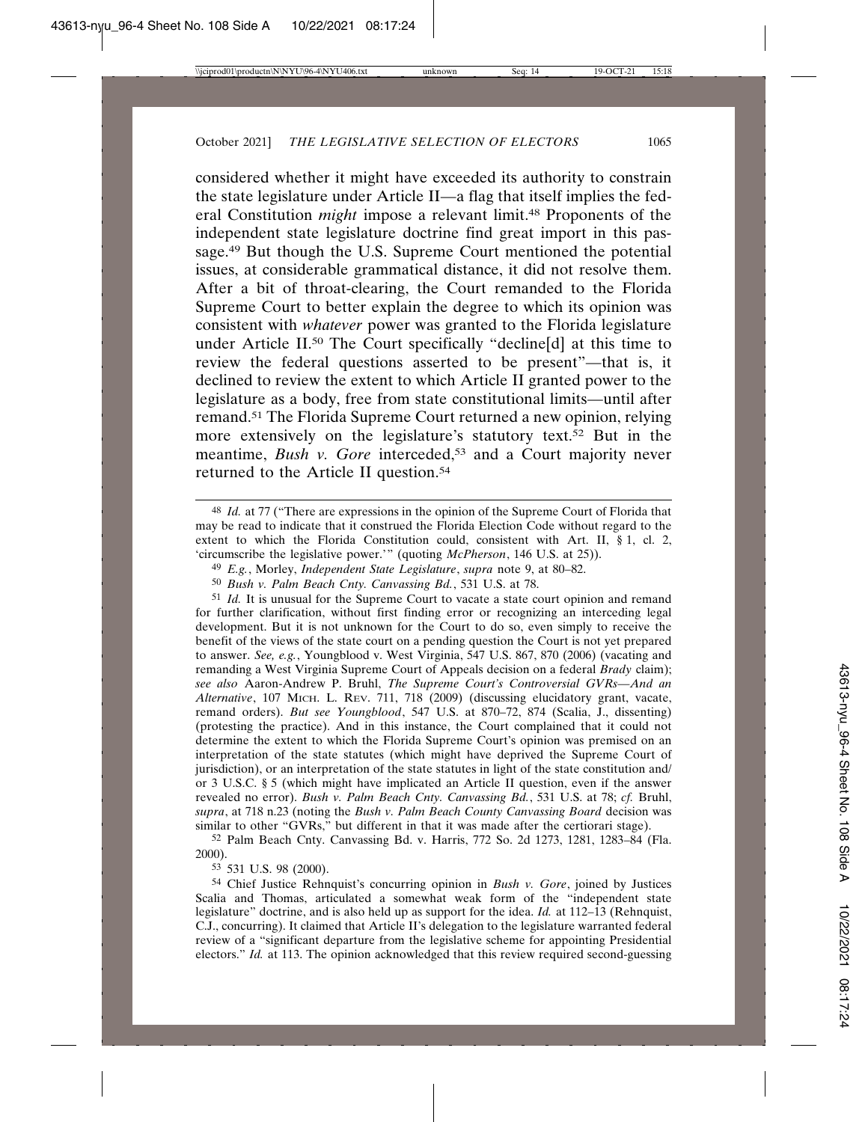considered whether it might have exceeded its authority to constrain the state legislature under Article II—a flag that itself implies the federal Constitution *might* impose a relevant limit.<sup>48</sup> Proponents of the independent state legislature doctrine find great import in this passage.49 But though the U.S. Supreme Court mentioned the potential issues, at considerable grammatical distance, it did not resolve them. After a bit of throat-clearing, the Court remanded to the Florida Supreme Court to better explain the degree to which its opinion was consistent with *whatever* power was granted to the Florida legislature under Article II.<sup>50</sup> The Court specifically "decline[d] at this time to review the federal questions asserted to be present"—that is, it declined to review the extent to which Article II granted power to the legislature as a body, free from state constitutional limits—until after remand.51 The Florida Supreme Court returned a new opinion, relying more extensively on the legislature's statutory text.52 But in the meantime, *Bush v. Gore* interceded,<sup>53</sup> and a Court majority never returned to the Article II question.54

51 *Id.* It is unusual for the Supreme Court to vacate a state court opinion and remand for further clarification, without first finding error or recognizing an interceding legal development. But it is not unknown for the Court to do so, even simply to receive the benefit of the views of the state court on a pending question the Court is not yet prepared to answer. *See, e.g.*, Youngblood v. West Virginia, 547 U.S. 867, 870 (2006) (vacating and remanding a West Virginia Supreme Court of Appeals decision on a federal *Brady* claim); *see also* Aaron-Andrew P. Bruhl, *The Supreme Court's Controversial GVRs—And an Alternative*, 107 MICH. L. REV. 711, 718 (2009) (discussing elucidatory grant, vacate, remand orders). *But see Youngblood*, 547 U.S. at 870–72, 874 (Scalia, J., dissenting) (protesting the practice). And in this instance, the Court complained that it could not determine the extent to which the Florida Supreme Court's opinion was premised on an interpretation of the state statutes (which might have deprived the Supreme Court of jurisdiction), or an interpretation of the state statutes in light of the state constitution and/ or 3 U.S.C. § 5 (which might have implicated an Article II question, even if the answer revealed no error). *Bush v. Palm Beach Cnty. Canvassing Bd.*, 531 U.S. at 78; *cf.* Bruhl, *supra*, at 718 n.23 (noting the *Bush v. Palm Beach County Canvassing Board* decision was similar to other "GVRs," but different in that it was made after the certiorari stage).

52 Palm Beach Cnty. Canvassing Bd. v. Harris, 772 So. 2d 1273, 1281, 1283–84 (Fla. 2000).

53 531 U.S. 98 (2000).

54 Chief Justice Rehnquist's concurring opinion in *Bush v. Gore*, joined by Justices Scalia and Thomas, articulated a somewhat weak form of the "independent state legislature" doctrine, and is also held up as support for the idea. *Id.* at 112–13 (Rehnquist, C.J., concurring). It claimed that Article II's delegation to the legislature warranted federal review of a "significant departure from the legislative scheme for appointing Presidential electors." *Id.* at 113. The opinion acknowledged that this review required second-guessing

<sup>48</sup> *Id.* at 77 ("There are expressions in the opinion of the Supreme Court of Florida that may be read to indicate that it construed the Florida Election Code without regard to the extent to which the Florida Constitution could, consistent with Art. II, § 1, cl. 2, 'circumscribe the legislative power.'" (quoting *McPherson*, 146 U.S. at 25)).

<sup>49</sup> *E.g.*, Morley, *Independent State Legislature*, *supra* note 9, at 80–82.

<sup>50</sup> *Bush v. Palm Beach Cnty. Canvassing Bd.*, 531 U.S. at 78.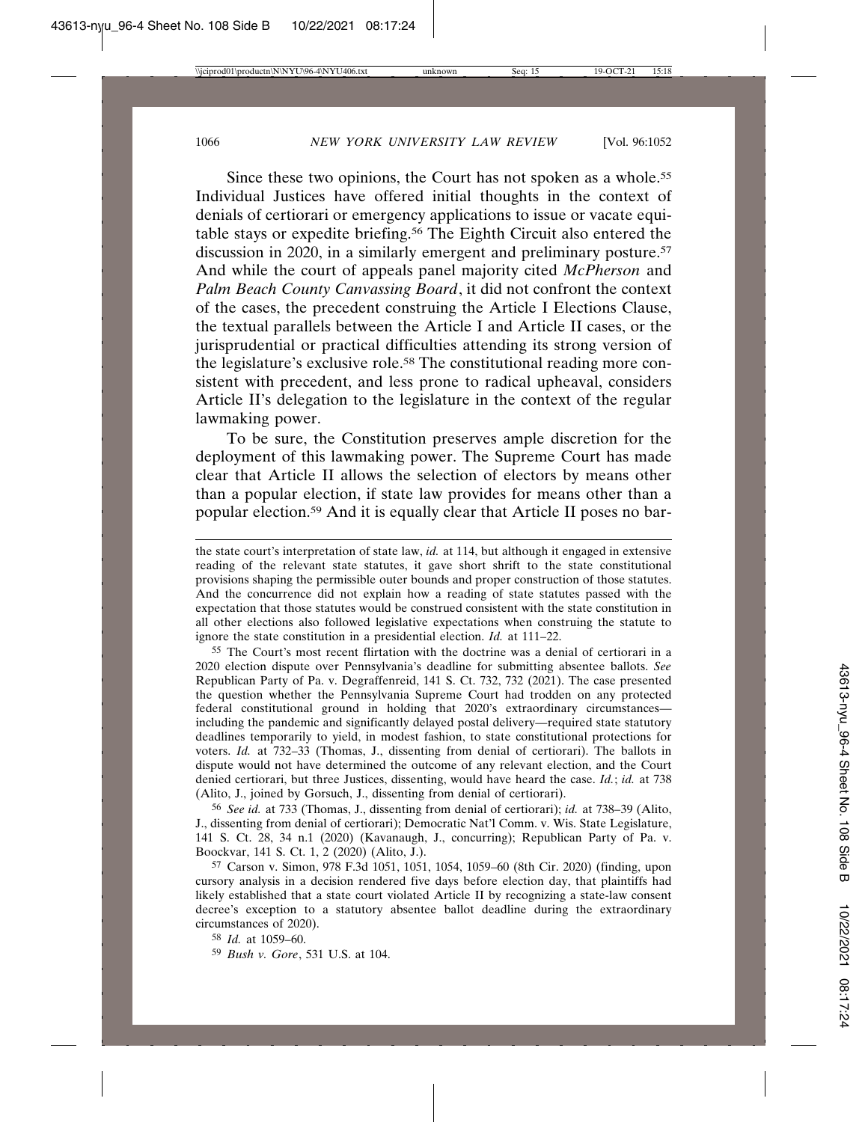Since these two opinions, the Court has not spoken as a whole.<sup>55</sup> Individual Justices have offered initial thoughts in the context of denials of certiorari or emergency applications to issue or vacate equitable stays or expedite briefing.56 The Eighth Circuit also entered the discussion in 2020, in a similarly emergent and preliminary posture.<sup>57</sup> And while the court of appeals panel majority cited *McPherson* and *Palm Beach County Canvassing Board*, it did not confront the context of the cases, the precedent construing the Article I Elections Clause, the textual parallels between the Article I and Article II cases, or the jurisprudential or practical difficulties attending its strong version of the legislature's exclusive role.58 The constitutional reading more consistent with precedent, and less prone to radical upheaval, considers Article II's delegation to the legislature in the context of the regular lawmaking power.

To be sure, the Constitution preserves ample discretion for the deployment of this lawmaking power. The Supreme Court has made clear that Article II allows the selection of electors by means other than a popular election, if state law provides for means other than a popular election.59 And it is equally clear that Article II poses no bar-

55 The Court's most recent flirtation with the doctrine was a denial of certiorari in a 2020 election dispute over Pennsylvania's deadline for submitting absentee ballots. *See* Republican Party of Pa. v. Degraffenreid, 141 S. Ct. 732, 732 (2021). The case presented the question whether the Pennsylvania Supreme Court had trodden on any protected federal constitutional ground in holding that 2020's extraordinary circumstances including the pandemic and significantly delayed postal delivery—required state statutory deadlines temporarily to yield, in modest fashion, to state constitutional protections for voters. *Id.* at 732–33 (Thomas, J., dissenting from denial of certiorari). The ballots in dispute would not have determined the outcome of any relevant election, and the Court denied certiorari, but three Justices, dissenting, would have heard the case. *Id.*; *id.* at 738 (Alito, J., joined by Gorsuch, J., dissenting from denial of certiorari).

56 *See id.* at 733 (Thomas, J., dissenting from denial of certiorari); *id.* at 738–39 (Alito, J., dissenting from denial of certiorari); Democratic Nat'l Comm. v. Wis. State Legislature, 141 S. Ct. 28, 34 n.1 (2020) (Kavanaugh, J., concurring); Republican Party of Pa. v. Boockvar, 141 S. Ct. 1, 2 (2020) (Alito, J.).

57 Carson v. Simon, 978 F.3d 1051, 1051, 1054, 1059–60 (8th Cir. 2020) (finding, upon cursory analysis in a decision rendered five days before election day, that plaintiffs had likely established that a state court violated Article II by recognizing a state-law consent decree's exception to a statutory absentee ballot deadline during the extraordinary circumstances of 2020).

58 *Id.* at 1059–60.

59 *Bush v. Gore*, 531 U.S. at 104.

the state court's interpretation of state law, *id.* at 114, but although it engaged in extensive reading of the relevant state statutes, it gave short shrift to the state constitutional provisions shaping the permissible outer bounds and proper construction of those statutes. And the concurrence did not explain how a reading of state statutes passed with the expectation that those statutes would be construed consistent with the state constitution in all other elections also followed legislative expectations when construing the statute to ignore the state constitution in a presidential election. *Id.* at 111–22.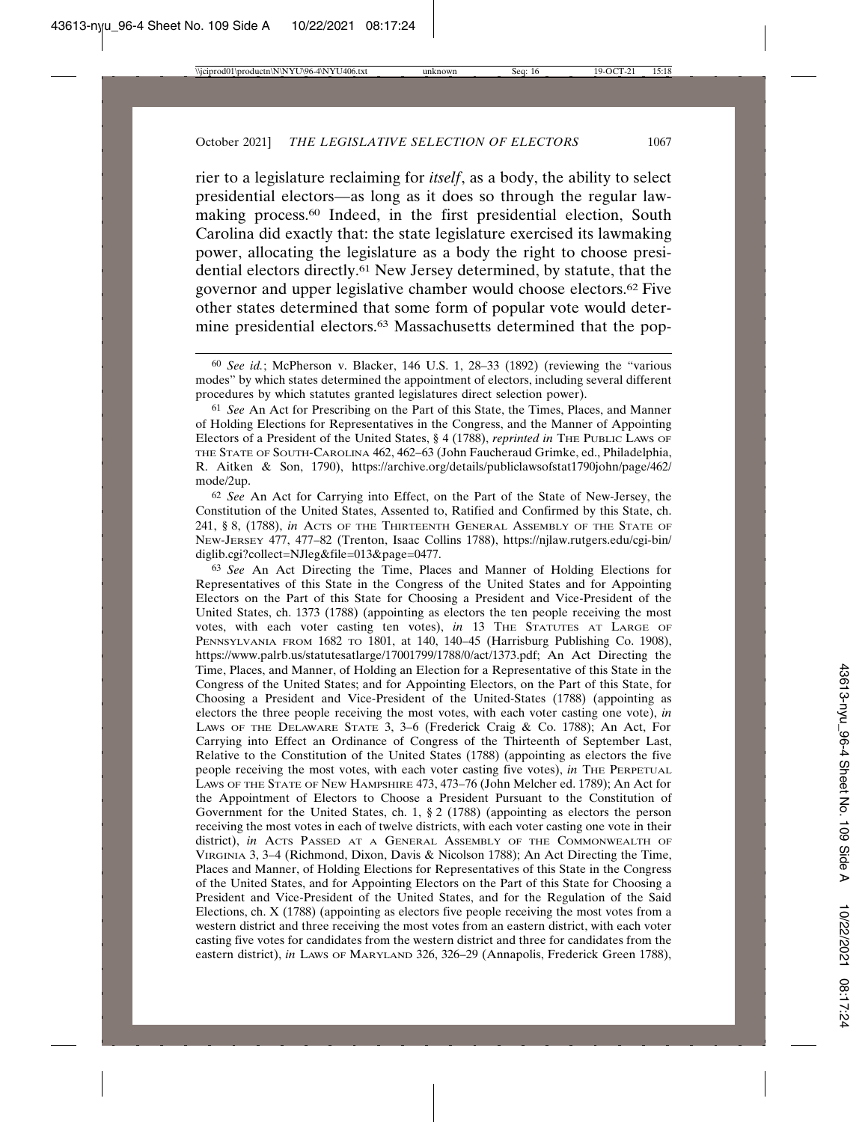rier to a legislature reclaiming for *itself*, as a body, the ability to select presidential electors—as long as it does so through the regular lawmaking process.60 Indeed, in the first presidential election, South Carolina did exactly that: the state legislature exercised its lawmaking power, allocating the legislature as a body the right to choose presidential electors directly.61 New Jersey determined, by statute, that the governor and upper legislative chamber would choose electors.62 Five other states determined that some form of popular vote would determine presidential electors.<sup>63</sup> Massachusetts determined that the pop-

60 *See id.*; McPherson v. Blacker, 146 U.S. 1, 28–33 (1892) (reviewing the "various modes" by which states determined the appointment of electors, including several different procedures by which statutes granted legislatures direct selection power).

61 *See* An Act for Prescribing on the Part of this State, the Times, Places, and Manner of Holding Elections for Representatives in the Congress, and the Manner of Appointing Electors of a President of the United States, § 4 (1788), *reprinted in* THE PUBLIC LAWS OF THE STATE OF SOUTH-CAROLINA 462, 462–63 (John Faucheraud Grimke, ed., Philadelphia, R. Aitken & Son, 1790), https://archive.org/details/publiclawsofstat1790john/page/462/ mode/2up.

62 *See* An Act for Carrying into Effect, on the Part of the State of New-Jersey, the Constitution of the United States, Assented to, Ratified and Confirmed by this State, ch. 241, § 8, (1788), *in* ACTS OF THE THIRTEENTH GENERAL ASSEMBLY OF THE STATE OF NEW-JERSEY 477, 477–82 (Trenton, Isaac Collins 1788), https://njlaw.rutgers.edu/cgi-bin/ diglib.cgi?collect=NJleg&file=013&page=0477.

63 *See* An Act Directing the Time, Places and Manner of Holding Elections for Representatives of this State in the Congress of the United States and for Appointing Electors on the Part of this State for Choosing a President and Vice-President of the United States, ch. 1373 (1788) (appointing as electors the ten people receiving the most votes, with each voter casting ten votes), *in* 13 THE STATUTES AT LARGE OF PENNSYLVANIA FROM 1682 TO 1801, at 140, 140–45 (Harrisburg Publishing Co. 1908), https://www.palrb.us/statutesatlarge/17001799/1788/0/act/1373.pdf; An Act Directing the Time, Places, and Manner, of Holding an Election for a Representative of this State in the Congress of the United States; and for Appointing Electors, on the Part of this State, for Choosing a President and Vice-President of the United-States (1788) (appointing as electors the three people receiving the most votes, with each voter casting one vote), *in* LAWS OF THE DELAWARE STATE 3, 3–6 (Frederick Craig & Co. 1788); An Act, For Carrying into Effect an Ordinance of Congress of the Thirteenth of September Last, Relative to the Constitution of the United States (1788) (appointing as electors the five people receiving the most votes, with each voter casting five votes), *in* THE PERPETUAL LAWS OF THE STATE OF NEW HAMPSHIRE 473, 473–76 (John Melcher ed. 1789); An Act for the Appointment of Electors to Choose a President Pursuant to the Constitution of Government for the United States, ch. 1, § 2 (1788) (appointing as electors the person receiving the most votes in each of twelve districts, with each voter casting one vote in their district), *in* ACTS PASSED AT A GENERAL ASSEMBLY OF THE COMMONWEALTH OF VIRGINIA 3, 3–4 (Richmond, Dixon, Davis & Nicolson 1788); An Act Directing the Time, Places and Manner, of Holding Elections for Representatives of this State in the Congress of the United States, and for Appointing Electors on the Part of this State for Choosing a President and Vice-President of the United States, and for the Regulation of the Said Elections, ch. X (1788) (appointing as electors five people receiving the most votes from a western district and three receiving the most votes from an eastern district, with each voter casting five votes for candidates from the western district and three for candidates from the eastern district), *in* LAWS OF MARYLAND 326, 326–29 (Annapolis, Frederick Green 1788),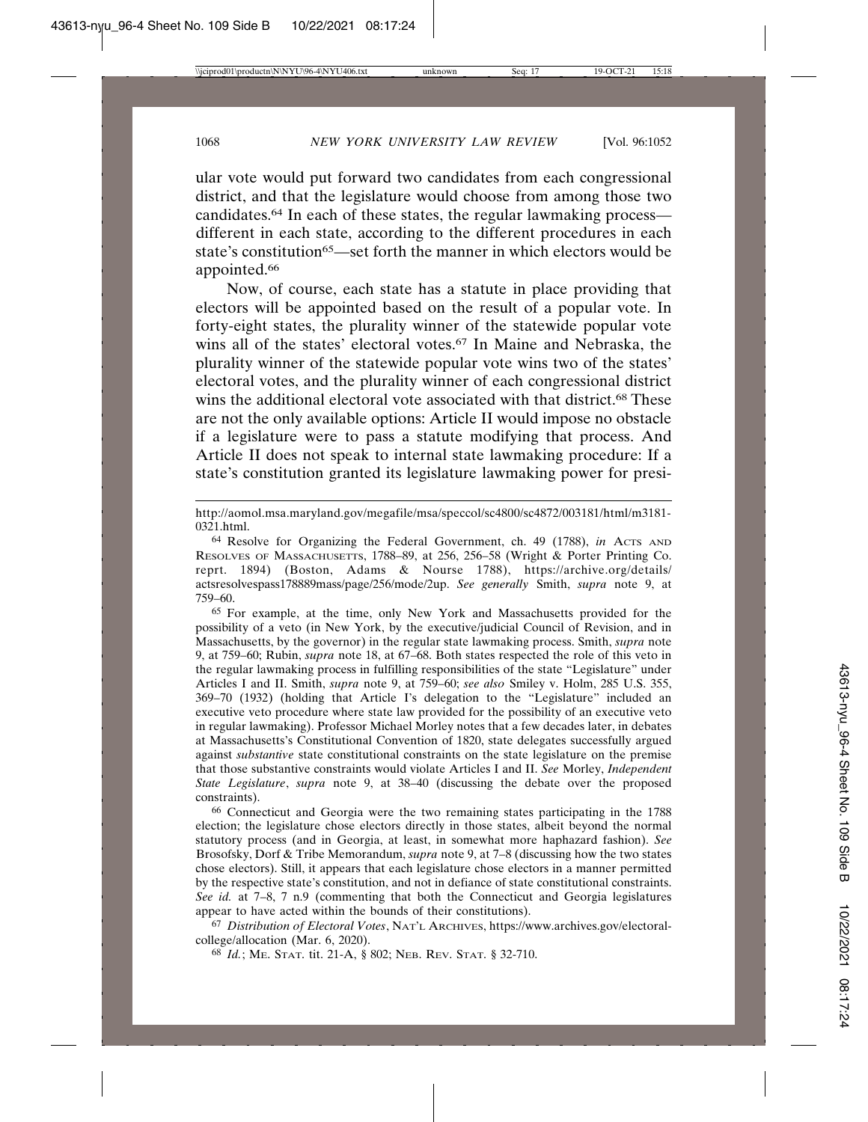ular vote would put forward two candidates from each congressional district, and that the legislature would choose from among those two candidates.64 In each of these states, the regular lawmaking process different in each state, according to the different procedures in each state's constitution<sup>65</sup>—set forth the manner in which electors would be appointed.<sup>66</sup>

Now, of course, each state has a statute in place providing that electors will be appointed based on the result of a popular vote. In forty-eight states, the plurality winner of the statewide popular vote wins all of the states' electoral votes.<sup>67</sup> In Maine and Nebraska, the plurality winner of the statewide popular vote wins two of the states' electoral votes, and the plurality winner of each congressional district wins the additional electoral vote associated with that district.<sup>68</sup> These are not the only available options: Article II would impose no obstacle if a legislature were to pass a statute modifying that process. And Article II does not speak to internal state lawmaking procedure: If a state's constitution granted its legislature lawmaking power for presi-

65 For example, at the time, only New York and Massachusetts provided for the possibility of a veto (in New York, by the executive/judicial Council of Revision, and in Massachusetts, by the governor) in the regular state lawmaking process. Smith, *supra* note 9, at 759–60; Rubin, *supra* note 18, at 67–68. Both states respected the role of this veto in the regular lawmaking process in fulfilling responsibilities of the state "Legislature" under Articles I and II. Smith, *supra* note 9, at 759–60; *see also* Smiley v. Holm, 285 U.S. 355, 369–70 (1932) (holding that Article I's delegation to the "Legislature" included an executive veto procedure where state law provided for the possibility of an executive veto in regular lawmaking). Professor Michael Morley notes that a few decades later, in debates at Massachusetts's Constitutional Convention of 1820, state delegates successfully argued against *substantive* state constitutional constraints on the state legislature on the premise that those substantive constraints would violate Articles I and II. *See* Morley, *Independent State Legislature*, *supra* note 9, at 38–40 (discussing the debate over the proposed constraints).

66 Connecticut and Georgia were the two remaining states participating in the 1788 election; the legislature chose electors directly in those states, albeit beyond the normal statutory process (and in Georgia, at least, in somewhat more haphazard fashion). *See* Brosofsky, Dorf & Tribe Memorandum, *supra* note 9, at 7–8 (discussing how the two states chose electors). Still, it appears that each legislature chose electors in a manner permitted by the respective state's constitution, and not in defiance of state constitutional constraints. *See id.* at 7–8, 7 n.9 (commenting that both the Connecticut and Georgia legislatures appear to have acted within the bounds of their constitutions).

67 *Distribution of Electoral Votes*, NAT'L ARCHIVES, https://www.archives.gov/electoralcollege/allocation (Mar. 6, 2020).

68 *Id.*; ME. STAT. tit. 21-A, § 802; NEB. REV. STAT. § 32-710.

http://aomol.msa.maryland.gov/megafile/msa/speccol/sc4800/sc4872/003181/html/m3181- 0321.html.

<sup>&</sup>lt;sup>64</sup> Resolve for Organizing the Federal Government, ch. 49 (1788), *in* Acrs AND RESOLVES OF MASSACHUSETTS, 1788–89, at 256, 256–58 (Wright & Porter Printing Co. reprt. 1894) (Boston, Adams & Nourse 1788), https://archive.org/details/ actsresolvespass178889mass/page/256/mode/2up. *See generally* Smith, *supra* note 9, at 759–60.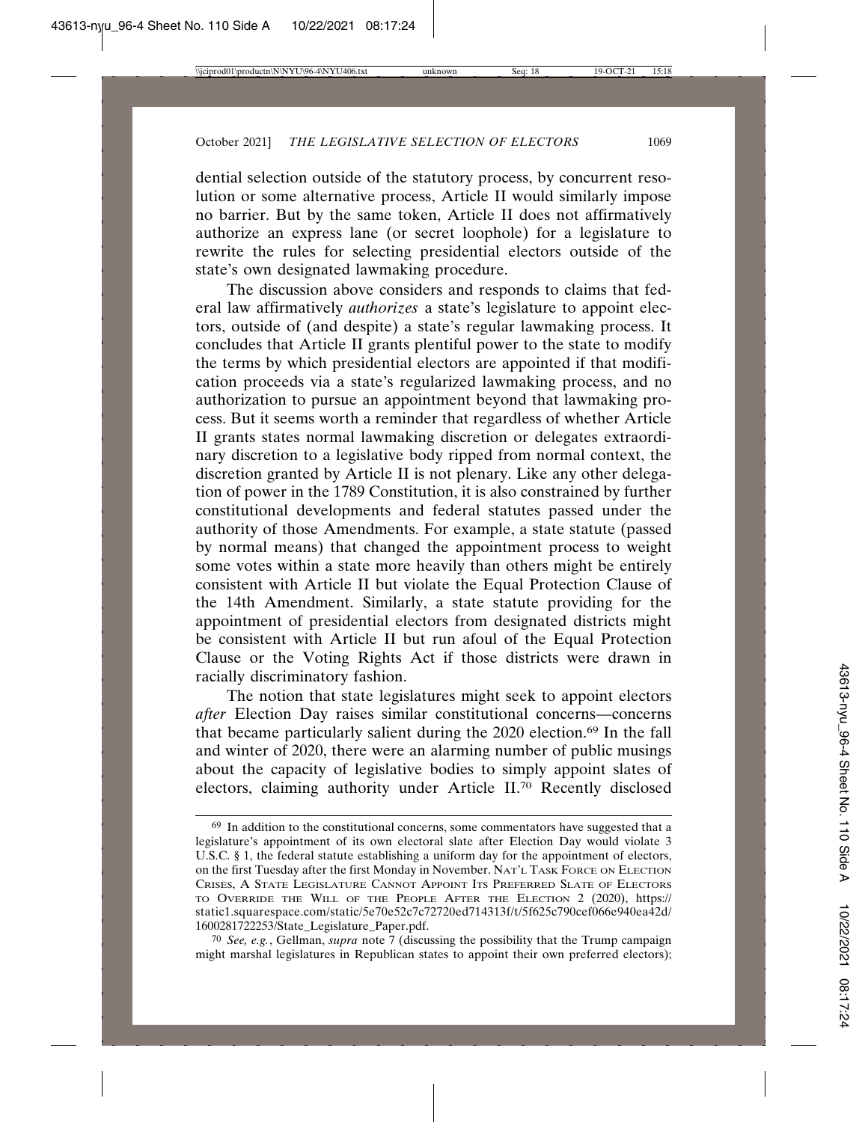dential selection outside of the statutory process, by concurrent resolution or some alternative process, Article II would similarly impose no barrier. But by the same token, Article II does not affirmatively authorize an express lane (or secret loophole) for a legislature to rewrite the rules for selecting presidential electors outside of the state's own designated lawmaking procedure.

The discussion above considers and responds to claims that federal law affirmatively *authorizes* a state's legislature to appoint electors, outside of (and despite) a state's regular lawmaking process. It concludes that Article II grants plentiful power to the state to modify the terms by which presidential electors are appointed if that modification proceeds via a state's regularized lawmaking process, and no authorization to pursue an appointment beyond that lawmaking process. But it seems worth a reminder that regardless of whether Article II grants states normal lawmaking discretion or delegates extraordinary discretion to a legislative body ripped from normal context, the discretion granted by Article II is not plenary. Like any other delegation of power in the 1789 Constitution, it is also constrained by further constitutional developments and federal statutes passed under the authority of those Amendments. For example, a state statute (passed by normal means) that changed the appointment process to weight some votes within a state more heavily than others might be entirely consistent with Article II but violate the Equal Protection Clause of the 14th Amendment. Similarly, a state statute providing for the appointment of presidential electors from designated districts might be consistent with Article II but run afoul of the Equal Protection Clause or the Voting Rights Act if those districts were drawn in racially discriminatory fashion.

The notion that state legislatures might seek to appoint electors *after* Election Day raises similar constitutional concerns—concerns that became particularly salient during the 2020 election.69 In the fall and winter of 2020, there were an alarming number of public musings about the capacity of legislative bodies to simply appoint slates of electors, claiming authority under Article II.70 Recently disclosed

<sup>&</sup>lt;sup>69</sup> In addition to the constitutional concerns, some commentators have suggested that a legislature's appointment of its own electoral slate after Election Day would violate 3 U.S.C. § 1, the federal statute establishing a uniform day for the appointment of electors, on the first Tuesday after the first Monday in November. NAT'L TASK FORCE ON ELECTION CRISES, A STATE LEGISLATURE CANNOT APPOINT ITS PREFERRED SLATE OF ELECTORS TO OVERRIDE THE WILL OF THE PEOPLE AFTER THE ELECTION 2 (2020), https:// static1.squarespace.com/static/5e70e52c7c72720ed714313f/t/5f625c790cef066e940ea42d/ 1600281722253/State\_Legislature\_Paper.pdf.

<sup>70</sup> *See, e.g.*, Gellman, *supra* note 7 (discussing the possibility that the Trump campaign might marshal legislatures in Republican states to appoint their own preferred electors);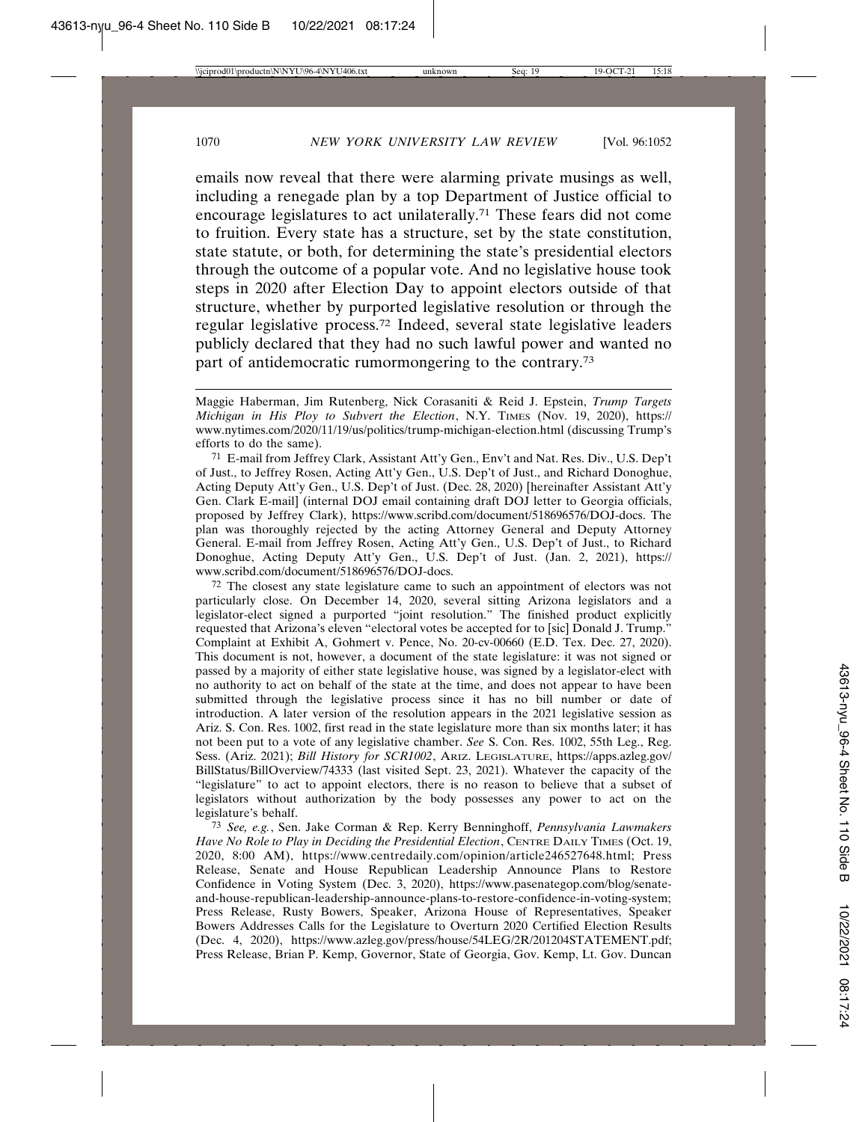emails now reveal that there were alarming private musings as well, including a renegade plan by a top Department of Justice official to encourage legislatures to act unilaterally.71 These fears did not come to fruition. Every state has a structure, set by the state constitution, state statute, or both, for determining the state's presidential electors through the outcome of a popular vote. And no legislative house took steps in 2020 after Election Day to appoint electors outside of that structure, whether by purported legislative resolution or through the regular legislative process.72 Indeed, several state legislative leaders publicly declared that they had no such lawful power and wanted no part of antidemocratic rumormongering to the contrary.73

71 E-mail from Jeffrey Clark, Assistant Att'y Gen., Env't and Nat. Res. Div., U.S. Dep't of Just., to Jeffrey Rosen, Acting Att'y Gen., U.S. Dep't of Just., and Richard Donoghue, Acting Deputy Att'y Gen., U.S. Dep't of Just. (Dec. 28, 2020) [hereinafter Assistant Att'y Gen. Clark E-mail] (internal DOJ email containing draft DOJ letter to Georgia officials, proposed by Jeffrey Clark), https://www.scribd.com/document/518696576/DOJ-docs. The plan was thoroughly rejected by the acting Attorney General and Deputy Attorney General. E-mail from Jeffrey Rosen, Acting Att'y Gen., U.S. Dep't of Just., to Richard Donoghue, Acting Deputy Att'y Gen., U.S. Dep't of Just. (Jan. 2, 2021), https:// www.scribd.com/document/518696576/DOJ-docs.

72 The closest any state legislature came to such an appointment of electors was not particularly close. On December 14, 2020, several sitting Arizona legislators and a legislator-elect signed a purported "joint resolution." The finished product explicitly requested that Arizona's eleven "electoral votes be accepted for to [sic] Donald J. Trump." Complaint at Exhibit A, Gohmert v. Pence, No. 20-cv-00660 (E.D. Tex. Dec. 27, 2020). This document is not, however, a document of the state legislature: it was not signed or passed by a majority of either state legislative house, was signed by a legislator-elect with no authority to act on behalf of the state at the time, and does not appear to have been submitted through the legislative process since it has no bill number or date of introduction. A later version of the resolution appears in the 2021 legislative session as Ariz. S. Con. Res. 1002, first read in the state legislature more than six months later; it has not been put to a vote of any legislative chamber. *See* S. Con. Res. 1002, 55th Leg., Reg. Sess. (Ariz. 2021); *Bill History for SCR1002*, ARIZ. LEGISLATURE, https://apps.azleg.gov/ BillStatus/BillOverview/74333 (last visited Sept. 23, 2021). Whatever the capacity of the "legislature" to act to appoint electors, there is no reason to believe that a subset of legislators without authorization by the body possesses any power to act on the legislature's behalf.

73 *See, e.g.*, Sen. Jake Corman & Rep. Kerry Benninghoff, *Pennsylvania Lawmakers Have No Role to Play in Deciding the Presidential Election*, CENTRE DAILY TIMES (Oct. 19, 2020, 8:00 AM), https://www.centredaily.com/opinion/article246527648.html; Press Release, Senate and House Republican Leadership Announce Plans to Restore Confidence in Voting System (Dec. 3, 2020), https://www.pasenategop.com/blog/senateand-house-republican-leadership-announce-plans-to-restore-confidence-in-voting-system; Press Release, Rusty Bowers, Speaker, Arizona House of Representatives, Speaker Bowers Addresses Calls for the Legislature to Overturn 2020 Certified Election Results (Dec. 4, 2020), https://www.azleg.gov/press/house/54LEG/2R/201204STATEMENT.pdf; Press Release, Brian P. Kemp, Governor, State of Georgia, Gov. Kemp, Lt. Gov. Duncan

Maggie Haberman, Jim Rutenberg, Nick Corasaniti & Reid J. Epstein, *Trump Targets Michigan in His Ploy to Subvert the Election*, N.Y. TIMES (Nov. 19, 2020), https:// www.nytimes.com/2020/11/19/us/politics/trump-michigan-election.html (discussing Trump's efforts to do the same).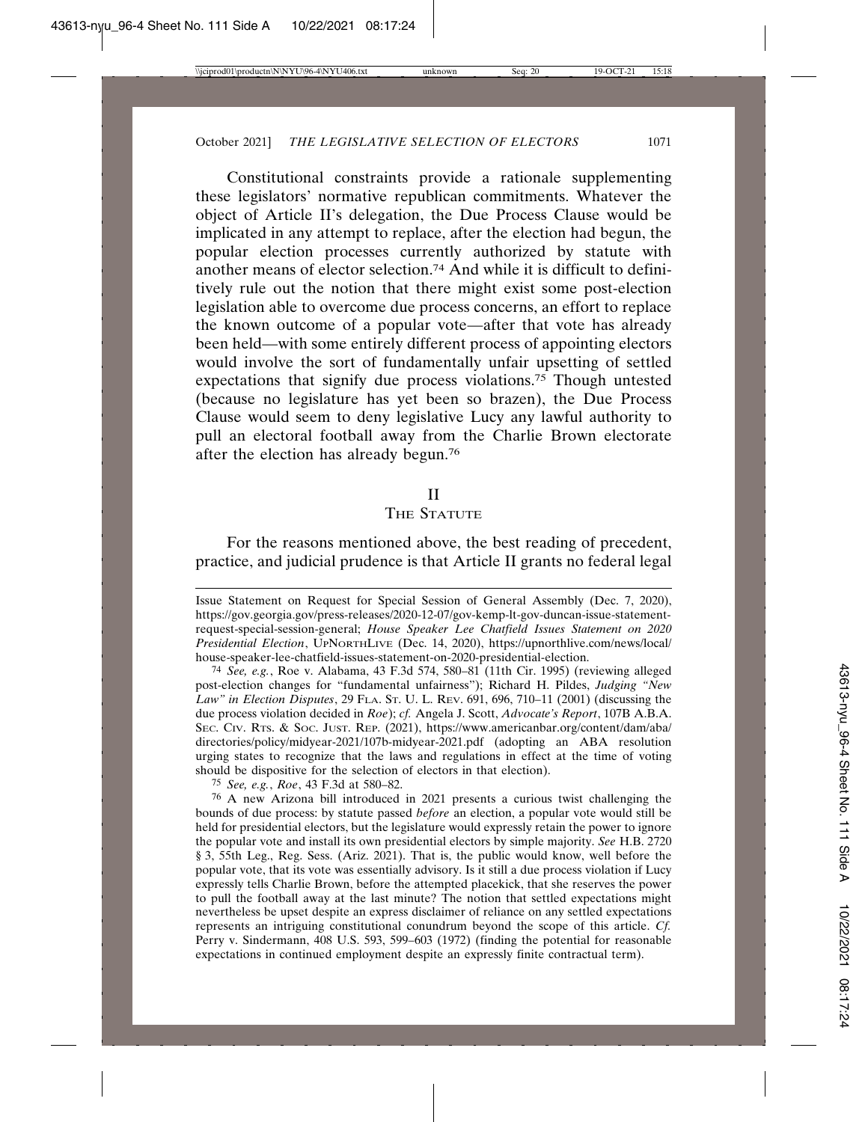Constitutional constraints provide a rationale supplementing these legislators' normative republican commitments. Whatever the object of Article II's delegation, the Due Process Clause would be implicated in any attempt to replace, after the election had begun, the popular election processes currently authorized by statute with another means of elector selection.74 And while it is difficult to definitively rule out the notion that there might exist some post-election legislation able to overcome due process concerns, an effort to replace the known outcome of a popular vote—after that vote has already been held—with some entirely different process of appointing electors would involve the sort of fundamentally unfair upsetting of settled expectations that signify due process violations.75 Though untested (because no legislature has yet been so brazen), the Due Process Clause would seem to deny legislative Lucy any lawful authority to pull an electoral football away from the Charlie Brown electorate after the election has already begun.76

#### II

## THE STATUTE

For the reasons mentioned above, the best reading of precedent, practice, and judicial prudence is that Article II grants no federal legal

75 *See, e.g.*, *Roe*, 43 F.3d at 580–82.

76 A new Arizona bill introduced in 2021 presents a curious twist challenging the bounds of due process: by statute passed *before* an election, a popular vote would still be held for presidential electors, but the legislature would expressly retain the power to ignore the popular vote and install its own presidential electors by simple majority. *See* H.B. 2720 § 3, 55th Leg., Reg. Sess. (Ariz. 2021). That is, the public would know, well before the popular vote, that its vote was essentially advisory. Is it still a due process violation if Lucy expressly tells Charlie Brown, before the attempted placekick, that she reserves the power to pull the football away at the last minute? The notion that settled expectations might nevertheless be upset despite an express disclaimer of reliance on any settled expectations represents an intriguing constitutional conundrum beyond the scope of this article. *Cf.* Perry v. Sindermann, 408 U.S. 593, 599–603 (1972) (finding the potential for reasonable expectations in continued employment despite an expressly finite contractual term).

Issue Statement on Request for Special Session of General Assembly (Dec. 7, 2020), https://gov.georgia.gov/press-releases/2020-12-07/gov-kemp-lt-gov-duncan-issue-statementrequest-special-session-general; *House Speaker Lee Chatfield Issues Statement on 2020 Presidential Election*, UPNORTHLIVE (Dec. 14, 2020), https://upnorthlive.com/news/local/ house-speaker-lee-chatfield-issues-statement-on-2020-presidential-election.

<sup>74</sup> *See, e.g.*, Roe v. Alabama, 43 F.3d 574, 580–81 (11th Cir. 1995) (reviewing alleged post-election changes for "fundamental unfairness"); Richard H. Pildes, *Judging "New Law" in Election Disputes*, 29 FLA. ST. U. L. REV. 691, 696, 710–11 (2001) (discussing the due process violation decided in *Roe*); *cf.* Angela J. Scott, *Advocate's Report*, 107B A.B.A. SEC. CIV. RTS. & SOC. JUST. REP. (2021), https://www.americanbar.org/content/dam/aba/ directories/policy/midyear-2021/107b-midyear-2021.pdf (adopting an ABA resolution urging states to recognize that the laws and regulations in effect at the time of voting should be dispositive for the selection of electors in that election).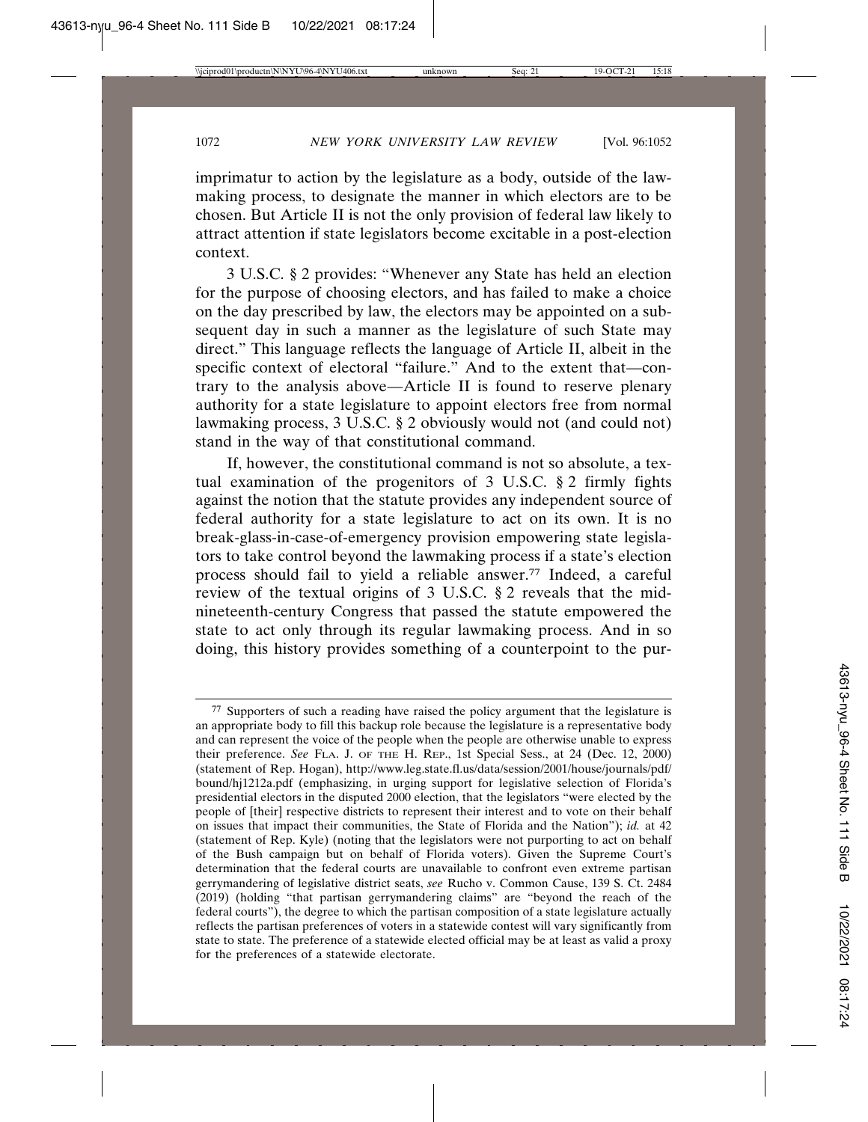imprimatur to action by the legislature as a body, outside of the lawmaking process, to designate the manner in which electors are to be chosen. But Article II is not the only provision of federal law likely to attract attention if state legislators become excitable in a post-election context.

3 U.S.C. § 2 provides: "Whenever any State has held an election for the purpose of choosing electors, and has failed to make a choice on the day prescribed by law, the electors may be appointed on a subsequent day in such a manner as the legislature of such State may direct." This language reflects the language of Article II, albeit in the specific context of electoral "failure." And to the extent that—contrary to the analysis above—Article II is found to reserve plenary authority for a state legislature to appoint electors free from normal lawmaking process, 3 U.S.C. § 2 obviously would not (and could not) stand in the way of that constitutional command.

If, however, the constitutional command is not so absolute, a textual examination of the progenitors of 3 U.S.C. § 2 firmly fights against the notion that the statute provides any independent source of federal authority for a state legislature to act on its own. It is no break-glass-in-case-of-emergency provision empowering state legislators to take control beyond the lawmaking process if a state's election process should fail to yield a reliable answer.77 Indeed, a careful review of the textual origins of 3 U.S.C. § 2 reveals that the midnineteenth-century Congress that passed the statute empowered the state to act only through its regular lawmaking process. And in so doing, this history provides something of a counterpoint to the pur-

<sup>77</sup> Supporters of such a reading have raised the policy argument that the legislature is an appropriate body to fill this backup role because the legislature is a representative body and can represent the voice of the people when the people are otherwise unable to express their preference. *See* FLA. J. OF THE H. REP., 1st Special Sess., at 24 (Dec. 12, 2000) (statement of Rep. Hogan), http://www.leg.state.fl.us/data/session/2001/house/journals/pdf/ bound/hj1212a.pdf (emphasizing, in urging support for legislative selection of Florida's presidential electors in the disputed 2000 election, that the legislators "were elected by the people of [their] respective districts to represent their interest and to vote on their behalf on issues that impact their communities, the State of Florida and the Nation"); *id.* at 42 (statement of Rep. Kyle) (noting that the legislators were not purporting to act on behalf of the Bush campaign but on behalf of Florida voters). Given the Supreme Court's determination that the federal courts are unavailable to confront even extreme partisan gerrymandering of legislative district seats, *see* Rucho v. Common Cause, 139 S. Ct. 2484 (2019) (holding "that partisan gerrymandering claims" are "beyond the reach of the federal courts"), the degree to which the partisan composition of a state legislature actually reflects the partisan preferences of voters in a statewide contest will vary significantly from state to state. The preference of a statewide elected official may be at least as valid a proxy for the preferences of a statewide electorate.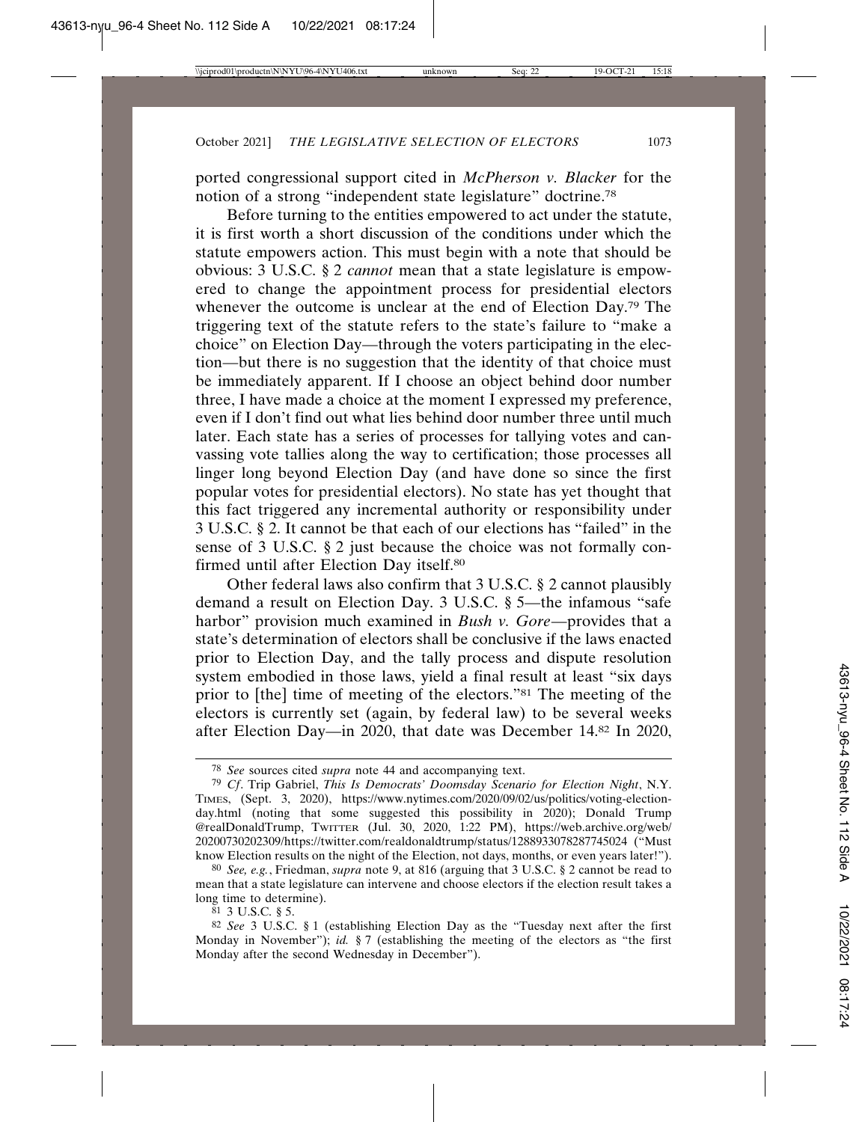ported congressional support cited in *McPherson v. Blacker* for the notion of a strong "independent state legislature" doctrine.78

Before turning to the entities empowered to act under the statute, it is first worth a short discussion of the conditions under which the statute empowers action. This must begin with a note that should be obvious: 3 U.S.C. § 2 *cannot* mean that a state legislature is empowered to change the appointment process for presidential electors whenever the outcome is unclear at the end of Election Day.<sup>79</sup> The triggering text of the statute refers to the state's failure to "make a choice" on Election Day—through the voters participating in the election—but there is no suggestion that the identity of that choice must be immediately apparent. If I choose an object behind door number three, I have made a choice at the moment I expressed my preference, even if I don't find out what lies behind door number three until much later. Each state has a series of processes for tallying votes and canvassing vote tallies along the way to certification; those processes all linger long beyond Election Day (and have done so since the first popular votes for presidential electors). No state has yet thought that this fact triggered any incremental authority or responsibility under 3 U.S.C. § 2. It cannot be that each of our elections has "failed" in the sense of 3 U.S.C. § 2 just because the choice was not formally confirmed until after Election Day itself.80

Other federal laws also confirm that 3 U.S.C. § 2 cannot plausibly demand a result on Election Day. 3 U.S.C. § 5—the infamous "safe harbor" provision much examined in *Bush v. Gore*—provides that a state's determination of electors shall be conclusive if the laws enacted prior to Election Day, and the tally process and dispute resolution system embodied in those laws, yield a final result at least "six days prior to [the] time of meeting of the electors."81 The meeting of the electors is currently set (again, by federal law) to be several weeks after Election Day—in 2020, that date was December 14.82 In 2020,

 $81$  3 U.S.C. § 5.

<sup>78</sup> *See* sources cited *supra* note 44 and accompanying text.

<sup>79</sup> *Cf*. Trip Gabriel, *This Is Democrats' Doomsday Scenario for Election Night*, N.Y. TIMES, (Sept. 3, 2020), https://www.nytimes.com/2020/09/02/us/politics/voting-electionday.html (noting that some suggested this possibility in 2020); Donald Trump @realDonaldTrump, TWITTER (Jul. 30, 2020, 1:22 PM), https://web.archive.org/web/ 20200730202309/https://twitter.com/realdonaldtrump/status/1288933078287745024 ("Must know Election results on the night of the Election, not days, months, or even years later!").

<sup>80</sup> *See, e.g.*, Friedman, *supra* note 9, at 816 (arguing that 3 U.S.C. § 2 cannot be read to mean that a state legislature can intervene and choose electors if the election result takes a long time to determine).

<sup>82</sup> *See* 3 U.S.C. § 1 (establishing Election Day as the "Tuesday next after the first Monday in November"); *id.* § 7 (establishing the meeting of the electors as "the first Monday after the second Wednesday in December").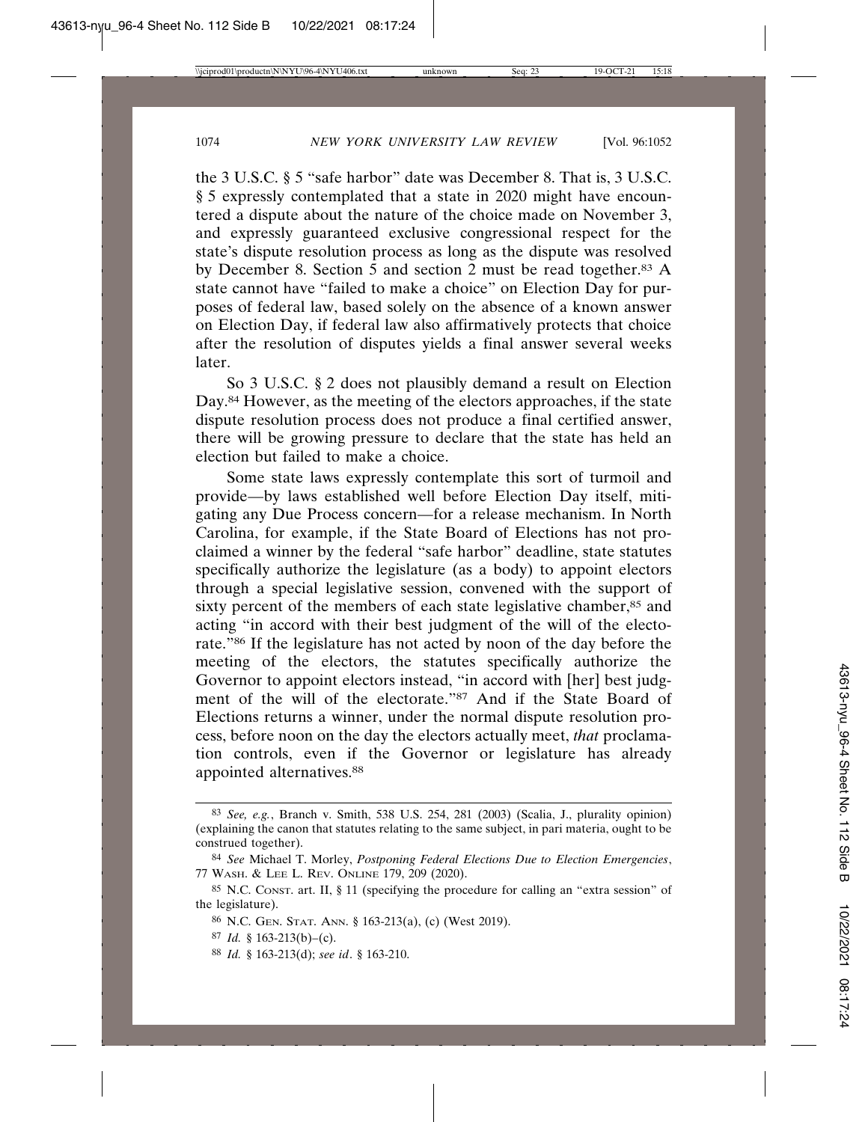the 3 U.S.C. § 5 "safe harbor" date was December 8. That is, 3 U.S.C. § 5 expressly contemplated that a state in 2020 might have encountered a dispute about the nature of the choice made on November 3, and expressly guaranteed exclusive congressional respect for the state's dispute resolution process as long as the dispute was resolved by December 8. Section  $\overline{5}$  and section 2 must be read together.<sup>83</sup> A state cannot have "failed to make a choice" on Election Day for purposes of federal law, based solely on the absence of a known answer on Election Day, if federal law also affirmatively protects that choice after the resolution of disputes yields a final answer several weeks later.

So 3 U.S.C. § 2 does not plausibly demand a result on Election Day.84 However, as the meeting of the electors approaches, if the state dispute resolution process does not produce a final certified answer, there will be growing pressure to declare that the state has held an election but failed to make a choice.

Some state laws expressly contemplate this sort of turmoil and provide—by laws established well before Election Day itself, mitigating any Due Process concern—for a release mechanism. In North Carolina, for example, if the State Board of Elections has not proclaimed a winner by the federal "safe harbor" deadline, state statutes specifically authorize the legislature (as a body) to appoint electors through a special legislative session, convened with the support of sixty percent of the members of each state legislative chamber,<sup>85</sup> and acting "in accord with their best judgment of the will of the electorate."86 If the legislature has not acted by noon of the day before the meeting of the electors, the statutes specifically authorize the Governor to appoint electors instead, "in accord with [her] best judgment of the will of the electorate."87 And if the State Board of Elections returns a winner, under the normal dispute resolution process, before noon on the day the electors actually meet, *that* proclamation controls, even if the Governor or legislature has already appointed alternatives.88

88 *Id.* § 163-213(d); *see id*. § 163-210.

<sup>83</sup> *See, e.g.*, Branch v. Smith, 538 U.S. 254, 281 (2003) (Scalia, J., plurality opinion) (explaining the canon that statutes relating to the same subject, in pari materia, ought to be construed together).

<sup>84</sup> *See* Michael T. Morley, *Postponing Federal Elections Due to Election Emergencies*, 77 WASH. & LEE L. REV. ONLINE 179, 209 (2020).

<sup>85</sup> N.C. CONST. art. II, § 11 (specifying the procedure for calling an "extra session" of the legislature).

<sup>86</sup> N.C. GEN. STAT. ANN. § 163-213(a), (c) (West 2019).

<sup>87</sup> *Id.* § 163-213(b)–(c).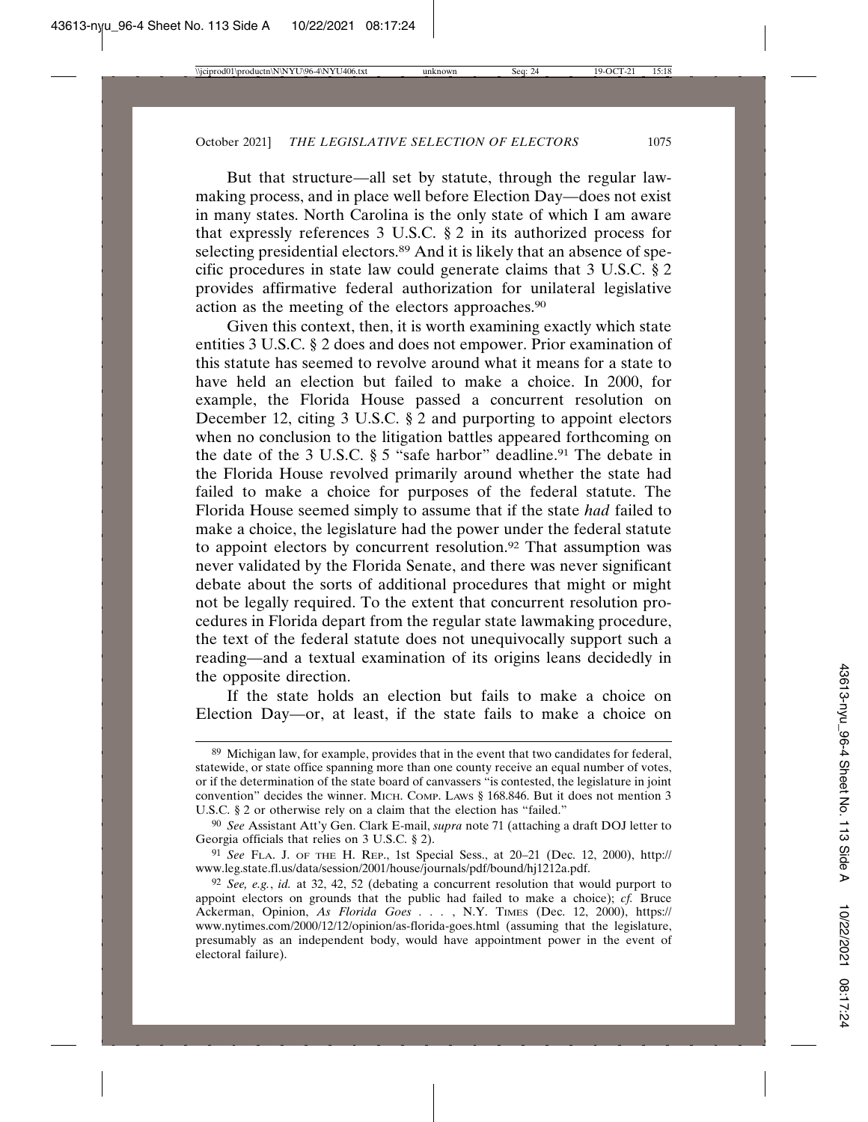But that structure—all set by statute, through the regular lawmaking process, and in place well before Election Day—does not exist in many states. North Carolina is the only state of which I am aware that expressly references 3 U.S.C. § 2 in its authorized process for selecting presidential electors.<sup>89</sup> And it is likely that an absence of specific procedures in state law could generate claims that 3 U.S.C. § 2 provides affirmative federal authorization for unilateral legislative action as the meeting of the electors approaches.90

Given this context, then, it is worth examining exactly which state entities 3 U.S.C. § 2 does and does not empower. Prior examination of this statute has seemed to revolve around what it means for a state to have held an election but failed to make a choice. In 2000, for example, the Florida House passed a concurrent resolution on December 12, citing 3 U.S.C. § 2 and purporting to appoint electors when no conclusion to the litigation battles appeared forthcoming on the date of the 3 U.S.C.  $\S 5$  "safe harbor" deadline.<sup>91</sup> The debate in the Florida House revolved primarily around whether the state had failed to make a choice for purposes of the federal statute. The Florida House seemed simply to assume that if the state *had* failed to make a choice, the legislature had the power under the federal statute to appoint electors by concurrent resolution.92 That assumption was never validated by the Florida Senate, and there was never significant debate about the sorts of additional procedures that might or might not be legally required. To the extent that concurrent resolution procedures in Florida depart from the regular state lawmaking procedure, the text of the federal statute does not unequivocally support such a reading—and a textual examination of its origins leans decidedly in the opposite direction.

If the state holds an election but fails to make a choice on Election Day—or, at least, if the state fails to make a choice on

<sup>89</sup> Michigan law, for example, provides that in the event that two candidates for federal, statewide, or state office spanning more than one county receive an equal number of votes, or if the determination of the state board of canvassers "is contested, the legislature in joint convention" decides the winner. MICH. COMP. LAWS § 168.846. But it does not mention 3 U.S.C. § 2 or otherwise rely on a claim that the election has "failed."

<sup>90</sup> *See* Assistant Att'y Gen. Clark E-mail, *supra* note 71 (attaching a draft DOJ letter to Georgia officials that relies on 3 U.S.C. § 2).

<sup>91</sup> *See* FLA. J. OF THE H. REP., 1st Special Sess., at 20–21 (Dec. 12, 2000), http:// www.leg.state.fl.us/data/session/2001/house/journals/pdf/bound/hj1212a.pdf.

<sup>92</sup> *See, e.g.*, *id.* at 32, 42, 52 (debating a concurrent resolution that would purport to appoint electors on grounds that the public had failed to make a choice); *cf.* Bruce Ackerman, Opinion, *As Florida Goes . . .* , N.Y. TIMES (Dec. 12, 2000), https:// www.nytimes.com/2000/12/12/opinion/as-florida-goes.html (assuming that the legislature, presumably as an independent body, would have appointment power in the event of electoral failure).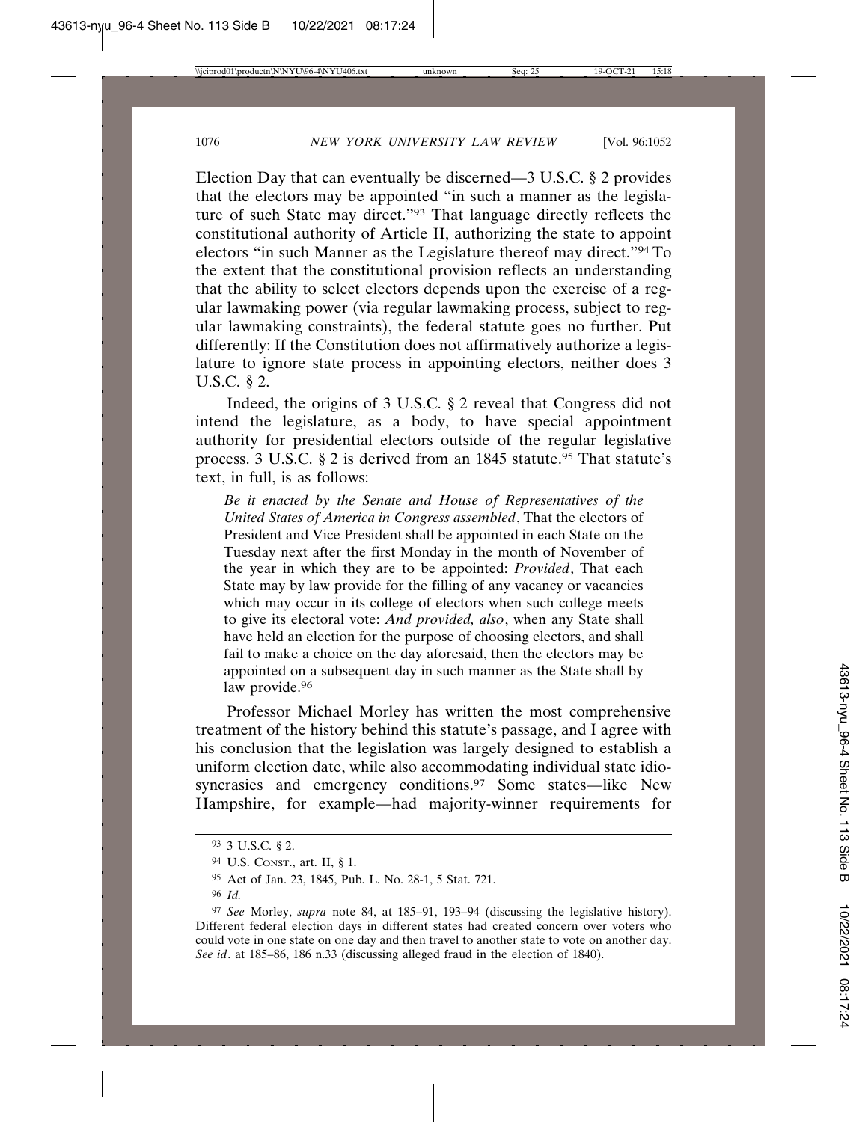Election Day that can eventually be discerned—3 U.S.C. § 2 provides that the electors may be appointed "in such a manner as the legislature of such State may direct."93 That language directly reflects the constitutional authority of Article II, authorizing the state to appoint electors "in such Manner as the Legislature thereof may direct."94 To the extent that the constitutional provision reflects an understanding that the ability to select electors depends upon the exercise of a regular lawmaking power (via regular lawmaking process, subject to regular lawmaking constraints), the federal statute goes no further. Put differently: If the Constitution does not affirmatively authorize a legislature to ignore state process in appointing electors, neither does 3 U.S.C. § 2.

Indeed, the origins of 3 U.S.C. § 2 reveal that Congress did not intend the legislature, as a body, to have special appointment authority for presidential electors outside of the regular legislative process. 3 U.S.C. § 2 is derived from an 1845 statute.<sup>95</sup> That statute's text, in full, is as follows:

*Be it enacted by the Senate and House of Representatives of the United States of America in Congress assembled*, That the electors of President and Vice President shall be appointed in each State on the Tuesday next after the first Monday in the month of November of the year in which they are to be appointed: *Provided*, That each State may by law provide for the filling of any vacancy or vacancies which may occur in its college of electors when such college meets to give its electoral vote: *And provided, also*, when any State shall have held an election for the purpose of choosing electors, and shall fail to make a choice on the day aforesaid, then the electors may be appointed on a subsequent day in such manner as the State shall by law provide.<sup>96</sup>

Professor Michael Morley has written the most comprehensive treatment of the history behind this statute's passage, and I agree with his conclusion that the legislation was largely designed to establish a uniform election date, while also accommodating individual state idiosyncrasies and emergency conditions.<sup>97</sup> Some states—like New Hampshire, for example—had majority-winner requirements for

<sup>93</sup> 3 U.S.C. § 2.

<sup>94</sup> U.S. CONST., art. II, § 1.

<sup>95</sup> Act of Jan. 23, 1845, Pub. L. No. 28-1, 5 Stat. 721.

<sup>96</sup> *Id.*

<sup>97</sup> *See* Morley, *supra* note 84, at 185–91, 193–94 (discussing the legislative history). Different federal election days in different states had created concern over voters who could vote in one state on one day and then travel to another state to vote on another day. *See id*. at 185–86, 186 n.33 (discussing alleged fraud in the election of 1840).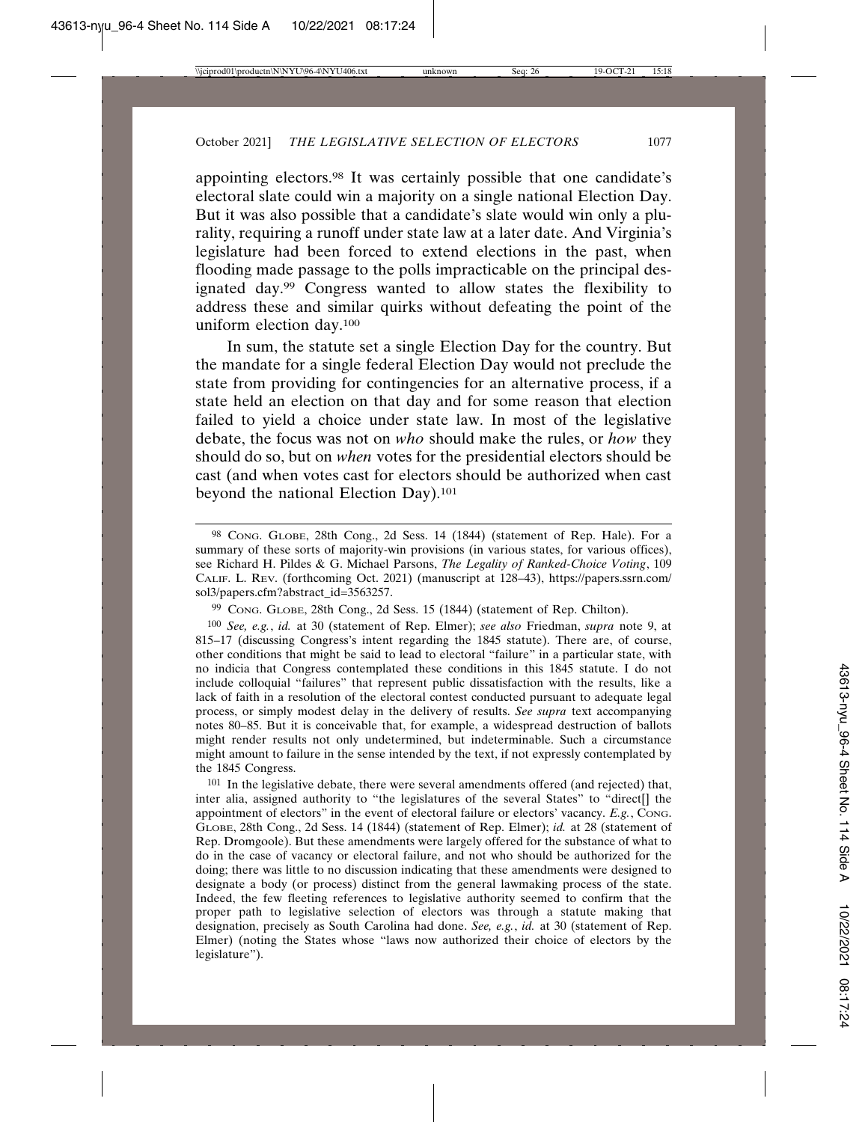appointing electors.98 It was certainly possible that one candidate's electoral slate could win a majority on a single national Election Day. But it was also possible that a candidate's slate would win only a plurality, requiring a runoff under state law at a later date. And Virginia's legislature had been forced to extend elections in the past, when flooding made passage to the polls impracticable on the principal designated day.99 Congress wanted to allow states the flexibility to address these and similar quirks without defeating the point of the uniform election day.100

In sum, the statute set a single Election Day for the country. But the mandate for a single federal Election Day would not preclude the state from providing for contingencies for an alternative process, if a state held an election on that day and for some reason that election failed to yield a choice under state law. In most of the legislative debate, the focus was not on *who* should make the rules, or *how* they should do so, but on *when* votes for the presidential electors should be cast (and when votes cast for electors should be authorized when cast beyond the national Election Day).101

101 In the legislative debate, there were several amendments offered (and rejected) that, inter alia, assigned authority to "the legislatures of the several States" to "direct[] the appointment of electors" in the event of electoral failure or electors' vacancy. *E.g.*, CONG. GLOBE, 28th Cong., 2d Sess. 14 (1844) (statement of Rep. Elmer); *id.* at 28 (statement of Rep. Dromgoole). But these amendments were largely offered for the substance of what to do in the case of vacancy or electoral failure, and not who should be authorized for the doing; there was little to no discussion indicating that these amendments were designed to designate a body (or process) distinct from the general lawmaking process of the state. Indeed, the few fleeting references to legislative authority seemed to confirm that the proper path to legislative selection of electors was through a statute making that designation, precisely as South Carolina had done. *See, e.g.*, *id.* at 30 (statement of Rep. Elmer) (noting the States whose "laws now authorized their choice of electors by the legislature").

<sup>98</sup> CONG. GLOBE, 28th Cong., 2d Sess. 14 (1844) (statement of Rep. Hale). For a summary of these sorts of majority-win provisions (in various states, for various offices), see Richard H. Pildes & G. Michael Parsons, *The Legality of Ranked-Choice Voting*, 109 CALIF. L. REV. (forthcoming Oct. 2021) (manuscript at 128–43), https://papers.ssrn.com/ sol3/papers.cfm?abstract\_id=3563257.

<sup>99</sup> CONG. GLOBE, 28th Cong., 2d Sess. 15 (1844) (statement of Rep. Chilton).

<sup>100</sup> *See, e.g.*, *id.* at 30 (statement of Rep. Elmer); *see also* Friedman, *supra* note 9, at 815–17 (discussing Congress's intent regarding the 1845 statute). There are, of course, other conditions that might be said to lead to electoral "failure" in a particular state, with no indicia that Congress contemplated these conditions in this 1845 statute. I do not include colloquial "failures" that represent public dissatisfaction with the results, like a lack of faith in a resolution of the electoral contest conducted pursuant to adequate legal process, or simply modest delay in the delivery of results. *See supra* text accompanying notes 80–85. But it is conceivable that, for example, a widespread destruction of ballots might render results not only undetermined, but indeterminable. Such a circumstance might amount to failure in the sense intended by the text, if not expressly contemplated by the 1845 Congress.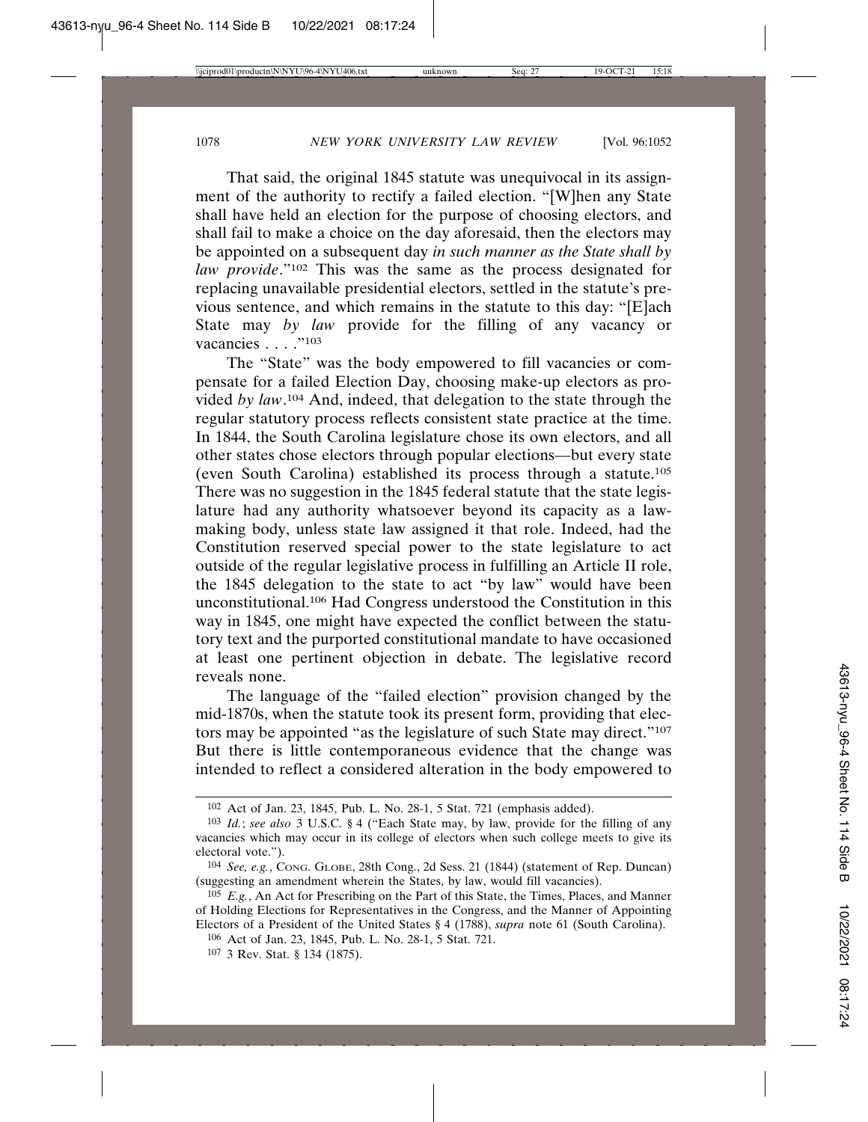That said, the original 1845 statute was unequivocal in its assignment of the authority to rectify a failed election. "[W]hen any State shall have held an election for the purpose of choosing electors, and shall fail to make a choice on the day aforesaid, then the electors may be appointed on a subsequent day *in such manner as the State shall by law provide*."<sup>102</sup> This was the same as the process designated for replacing unavailable presidential electors, settled in the statute's previous sentence, and which remains in the statute to this day: "[E]ach State may *by law* provide for the filling of any vacancy or vacancies . . . . . "103

The "State" was the body empowered to fill vacancies or compensate for a failed Election Day, choosing make-up electors as provided *by law*. 104 And, indeed, that delegation to the state through the regular statutory process reflects consistent state practice at the time. In 1844, the South Carolina legislature chose its own electors, and all other states chose electors through popular elections—but every state (even South Carolina) established its process through a statute.105 There was no suggestion in the 1845 federal statute that the state legislature had any authority whatsoever beyond its capacity as a lawmaking body, unless state law assigned it that role. Indeed, had the Constitution reserved special power to the state legislature to act outside of the regular legislative process in fulfilling an Article II role, the 1845 delegation to the state to act "by law" would have been unconstitutional.106 Had Congress understood the Constitution in this way in 1845, one might have expected the conflict between the statutory text and the purported constitutional mandate to have occasioned at least one pertinent objection in debate. The legislative record reveals none.

The language of the "failed election" provision changed by the mid-1870s, when the statute took its present form, providing that electors may be appointed "as the legislature of such State may direct."107 But there is little contemporaneous evidence that the change was intended to reflect a considered alteration in the body empowered to

106 Act of Jan. 23, 1845, Pub. L. No. 28-1, 5 Stat. 721.

<sup>102</sup> Act of Jan. 23, 1845, Pub. L. No. 28-1, 5 Stat. 721 (emphasis added).

<sup>103</sup> *Id.*; *see also* 3 U.S.C. § 4 ("Each State may, by law, provide for the filling of any vacancies which may occur in its college of electors when such college meets to give its electoral vote.").

<sup>104</sup> *See, e.g.*, CONG. GLOBE, 28th Cong., 2d Sess. 21 (1844) (statement of Rep. Duncan) (suggesting an amendment wherein the States, by law, would fill vacancies).

<sup>105</sup> *E.g.*, An Act for Prescribing on the Part of this State, the Times, Places, and Manner of Holding Elections for Representatives in the Congress, and the Manner of Appointing Electors of a President of the United States § 4 (1788), *supra* note 61 (South Carolina).

<sup>107</sup> 3 Rev. Stat. § 134 (1875).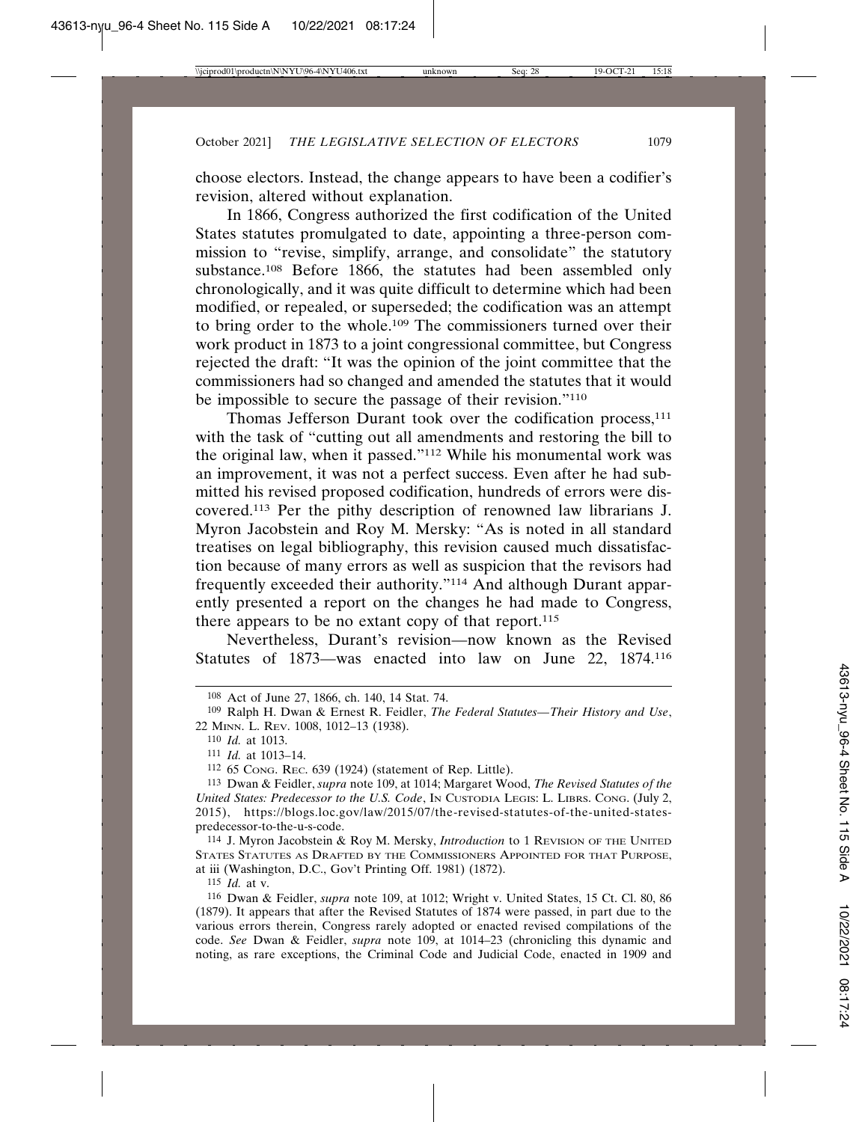choose electors. Instead, the change appears to have been a codifier's revision, altered without explanation.

In 1866, Congress authorized the first codification of the United States statutes promulgated to date, appointing a three-person commission to "revise, simplify, arrange, and consolidate" the statutory substance.<sup>108</sup> Before 1866, the statutes had been assembled only chronologically, and it was quite difficult to determine which had been modified, or repealed, or superseded; the codification was an attempt to bring order to the whole.109 The commissioners turned over their work product in 1873 to a joint congressional committee, but Congress rejected the draft: "It was the opinion of the joint committee that the commissioners had so changed and amended the statutes that it would be impossible to secure the passage of their revision."110

Thomas Jefferson Durant took over the codification process,<sup>111</sup> with the task of "cutting out all amendments and restoring the bill to the original law, when it passed."112 While his monumental work was an improvement, it was not a perfect success. Even after he had submitted his revised proposed codification, hundreds of errors were discovered.113 Per the pithy description of renowned law librarians J. Myron Jacobstein and Roy M. Mersky: "As is noted in all standard treatises on legal bibliography, this revision caused much dissatisfaction because of many errors as well as suspicion that the revisors had frequently exceeded their authority."114 And although Durant apparently presented a report on the changes he had made to Congress, there appears to be no extant copy of that report.115

Nevertheless, Durant's revision—now known as the Revised Statutes of 1873—was enacted into law on June 22, 1874.116

114 J. Myron Jacobstein & Roy M. Mersky, *Introduction* to 1 REVISION OF THE UNITED STATES STATUTES AS DRAFTED BY THE COMMISSIONERS APPOINTED FOR THAT PURPOSE, at iii (Washington, D.C., Gov't Printing Off. 1981) (1872).

115 *Id.* at v.

<sup>108</sup> Act of June 27, 1866, ch. 140, 14 Stat. 74.

<sup>109</sup> Ralph H. Dwan & Ernest R. Feidler, *The Federal Statutes—Their History and Use*, 22 MINN. L. REV. 1008, 1012–13 (1938).

<sup>110</sup> *Id.* at 1013.

<sup>111</sup> *Id.* at 1013–14.

<sup>112</sup> 65 CONG. REC. 639 (1924) (statement of Rep. Little).

<sup>113</sup> Dwan & Feidler, *supra* note 109, at 1014; Margaret Wood, *The Revised Statutes of the United States: Predecessor to the U.S. Code*, IN CUSTODIA LEGIS: L. LIBRS. CONG. (July 2, 2015), https://blogs.loc.gov/law/2015/07/the-revised-statutes-of-the-united-statespredecessor-to-the-u-s-code.

<sup>116</sup> Dwan & Feidler, *supra* note 109, at 1012; Wright v. United States, 15 Ct. Cl. 80, 86 (1879). It appears that after the Revised Statutes of 1874 were passed, in part due to the various errors therein, Congress rarely adopted or enacted revised compilations of the code. *See* Dwan & Feidler, *supra* note 109, at 1014–23 (chronicling this dynamic and noting, as rare exceptions, the Criminal Code and Judicial Code, enacted in 1909 and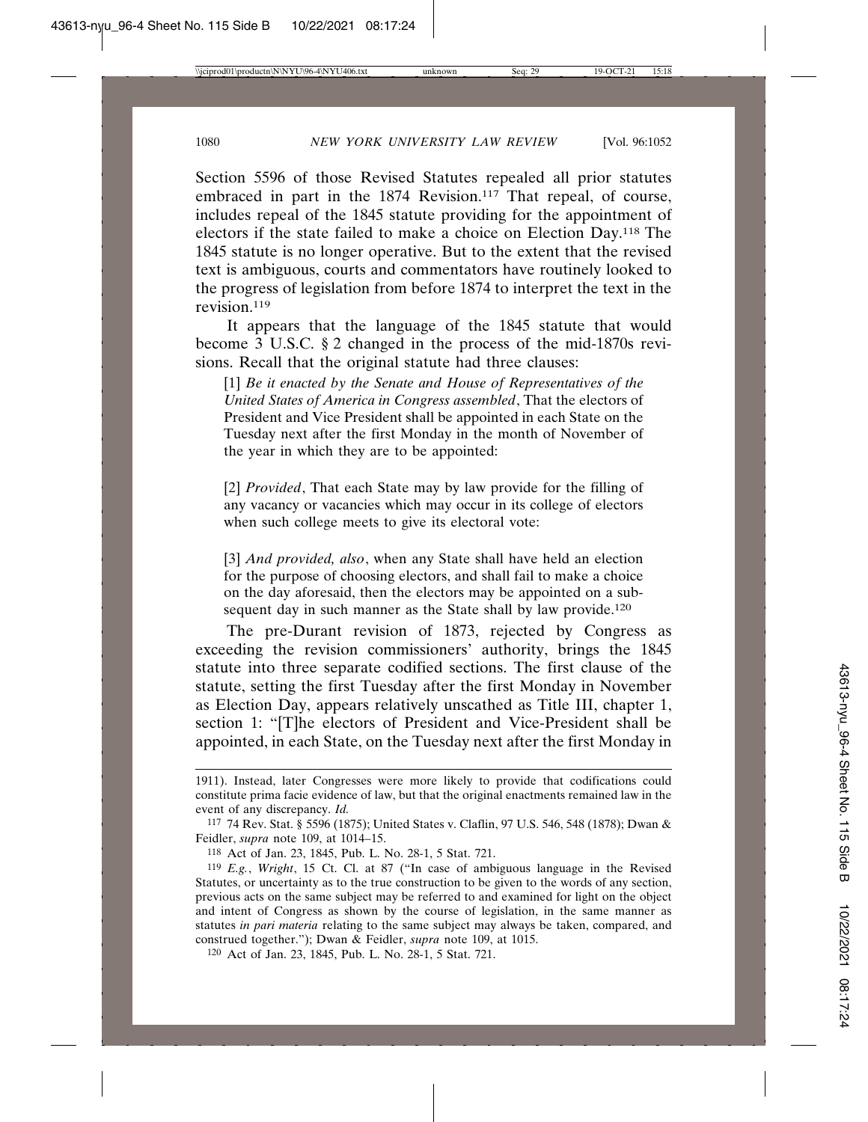Section 5596 of those Revised Statutes repealed all prior statutes embraced in part in the 1874 Revision.<sup>117</sup> That repeal, of course, includes repeal of the 1845 statute providing for the appointment of electors if the state failed to make a choice on Election Day.118 The 1845 statute is no longer operative. But to the extent that the revised text is ambiguous, courts and commentators have routinely looked to the progress of legislation from before 1874 to interpret the text in the revision.119

It appears that the language of the 1845 statute that would become 3 U.S.C. § 2 changed in the process of the mid-1870s revisions. Recall that the original statute had three clauses:

[1] *Be it enacted by the Senate and House of Representatives of the United States of America in Congress assembled*, That the electors of President and Vice President shall be appointed in each State on the Tuesday next after the first Monday in the month of November of the year in which they are to be appointed:

[2] *Provided*, That each State may by law provide for the filling of any vacancy or vacancies which may occur in its college of electors when such college meets to give its electoral vote:

[3] *And provided, also*, when any State shall have held an election for the purpose of choosing electors, and shall fail to make a choice on the day aforesaid, then the electors may be appointed on a subsequent day in such manner as the State shall by law provide.<sup>120</sup>

The pre-Durant revision of 1873, rejected by Congress as exceeding the revision commissioners' authority, brings the 1845 statute into three separate codified sections. The first clause of the statute, setting the first Tuesday after the first Monday in November as Election Day, appears relatively unscathed as Title III, chapter 1, section 1: "[T]he electors of President and Vice-President shall be appointed, in each State, on the Tuesday next after the first Monday in

<sup>1911).</sup> Instead, later Congresses were more likely to provide that codifications could constitute prima facie evidence of law, but that the original enactments remained law in the event of any discrepancy. *Id.*

<sup>117</sup> 74 Rev. Stat. § 5596 (1875); United States v. Claflin, 97 U.S. 546, 548 (1878); Dwan & Feidler, *supra* note 109, at 1014–15.

<sup>118</sup> Act of Jan. 23, 1845, Pub. L. No. 28-1, 5 Stat. 721.

<sup>119</sup> *E.g.*, *Wright*, 15 Ct. Cl. at 87 ("In case of ambiguous language in the Revised Statutes, or uncertainty as to the true construction to be given to the words of any section, previous acts on the same subject may be referred to and examined for light on the object and intent of Congress as shown by the course of legislation, in the same manner as statutes *in pari materia* relating to the same subject may always be taken, compared, and construed together."); Dwan & Feidler, *supra* note 109, at 1015.

<sup>120</sup> Act of Jan. 23, 1845, Pub. L. No. 28-1, 5 Stat. 721.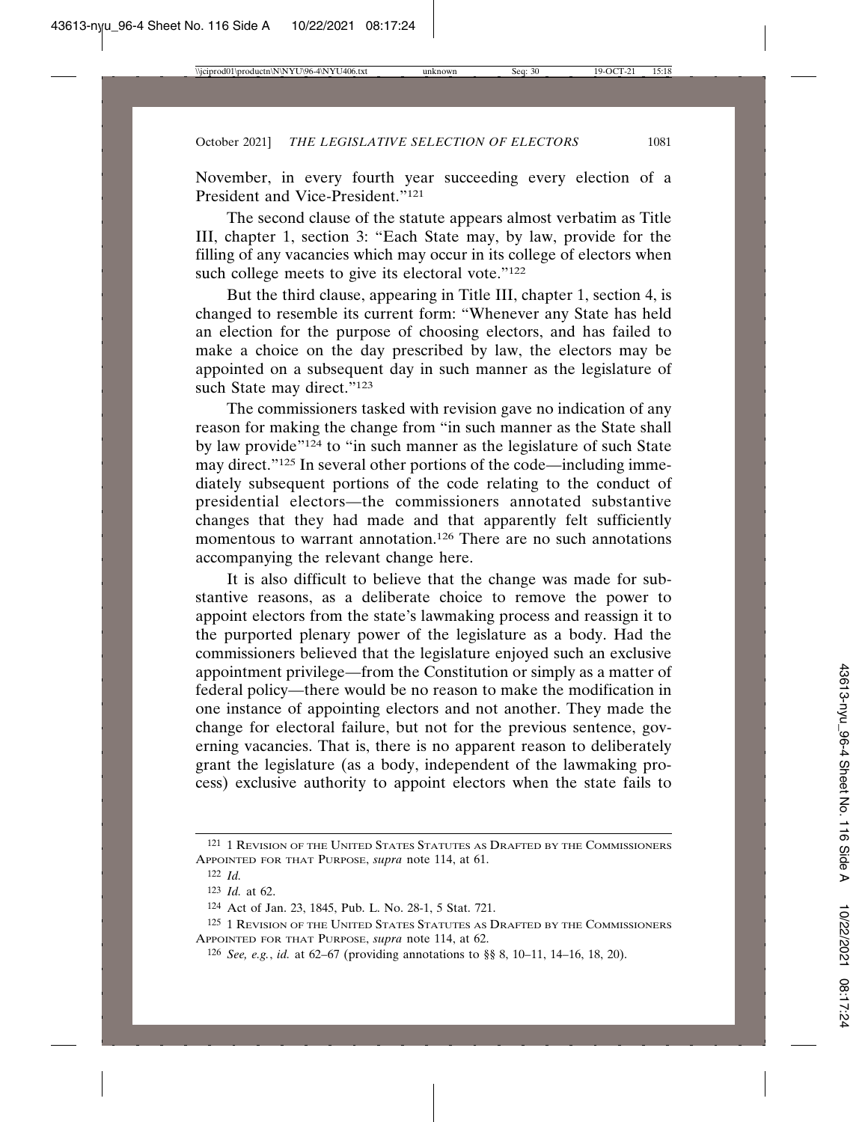November, in every fourth year succeeding every election of a President and Vice-President."<sup>121</sup>

The second clause of the statute appears almost verbatim as Title III, chapter 1, section 3: "Each State may, by law, provide for the filling of any vacancies which may occur in its college of electors when such college meets to give its electoral vote."<sup>122</sup>

But the third clause, appearing in Title III, chapter 1, section 4, is changed to resemble its current form: "Whenever any State has held an election for the purpose of choosing electors, and has failed to make a choice on the day prescribed by law, the electors may be appointed on a subsequent day in such manner as the legislature of such State may direct."<sup>123</sup>

The commissioners tasked with revision gave no indication of any reason for making the change from "in such manner as the State shall by law provide"124 to "in such manner as the legislature of such State may direct."125 In several other portions of the code—including immediately subsequent portions of the code relating to the conduct of presidential electors—the commissioners annotated substantive changes that they had made and that apparently felt sufficiently momentous to warrant annotation.126 There are no such annotations accompanying the relevant change here.

It is also difficult to believe that the change was made for substantive reasons, as a deliberate choice to remove the power to appoint electors from the state's lawmaking process and reassign it to the purported plenary power of the legislature as a body. Had the commissioners believed that the legislature enjoyed such an exclusive appointment privilege—from the Constitution or simply as a matter of federal policy—there would be no reason to make the modification in one instance of appointing electors and not another. They made the change for electoral failure, but not for the previous sentence, governing vacancies. That is, there is no apparent reason to deliberately grant the legislature (as a body, independent of the lawmaking process) exclusive authority to appoint electors when the state fails to

<sup>121</sup> 1 REVISION OF THE UNITED STATES STATUTES AS DRAFTED BY THE COMMISSIONERS APPOINTED FOR THAT PURPOSE, *supra* note 114, at 61.

<sup>122</sup> *Id.*

<sup>123</sup> *Id.* at 62.

<sup>124</sup> Act of Jan. 23, 1845, Pub. L. No. 28-1, 5 Stat. 721.

<sup>125 1</sup> REVISION OF THE UNITED STATES STATUTES AS DRAFTED BY THE COMMISSIONERS APPOINTED FOR THAT PURPOSE, *supra* note 114, at 62.

<sup>126</sup> *See, e.g.*, *id.* at 62–67 (providing annotations to §§ 8, 10–11, 14–16, 18, 20).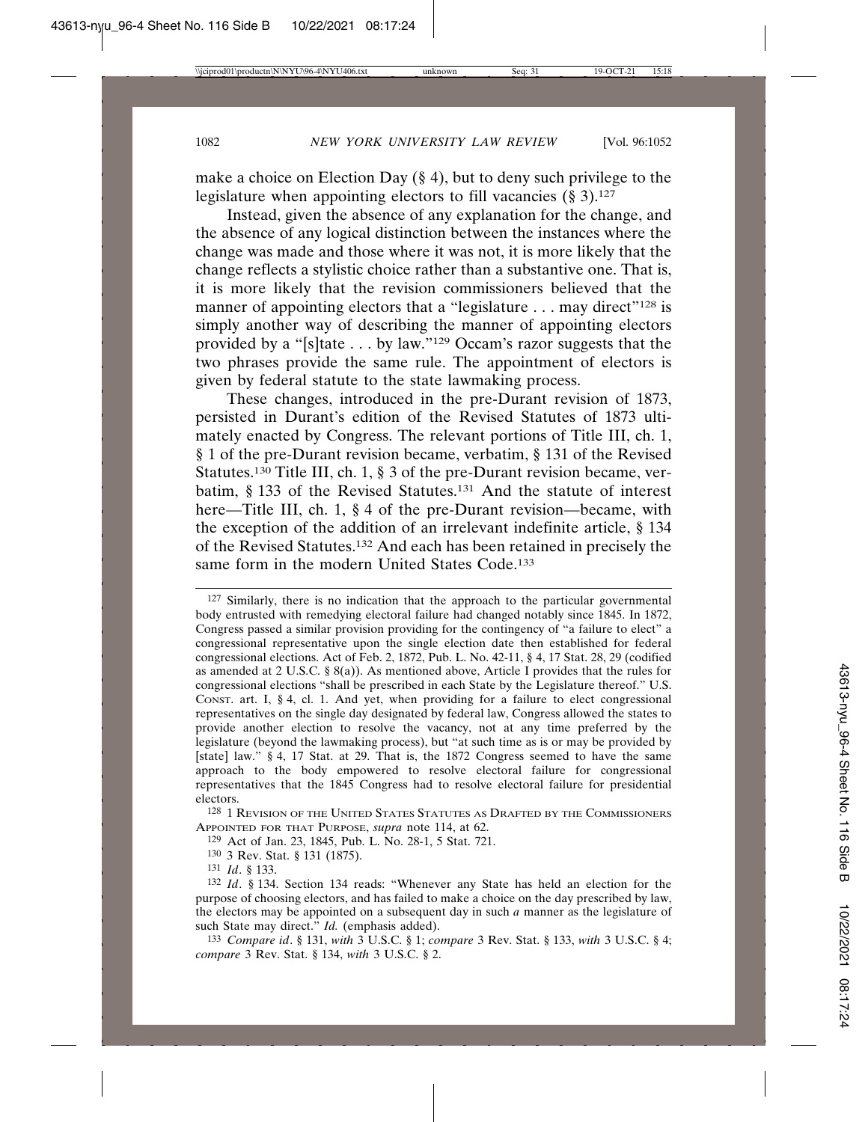make a choice on Election Day (§ 4), but to deny such privilege to the legislature when appointing electors to fill vacancies  $(\S 3)^{127}$ 

Instead, given the absence of any explanation for the change, and the absence of any logical distinction between the instances where the change was made and those where it was not, it is more likely that the change reflects a stylistic choice rather than a substantive one. That is, it is more likely that the revision commissioners believed that the manner of appointing electors that a "legislature . . . may direct"<sup>128</sup> is simply another way of describing the manner of appointing electors provided by a "[s]tate . . . by law."129 Occam's razor suggests that the two phrases provide the same rule. The appointment of electors is given by federal statute to the state lawmaking process.

These changes, introduced in the pre-Durant revision of 1873, persisted in Durant's edition of the Revised Statutes of 1873 ultimately enacted by Congress. The relevant portions of Title III, ch. 1, § 1 of the pre-Durant revision became, verbatim, § 131 of the Revised Statutes.130 Title III, ch. 1, § 3 of the pre-Durant revision became, verbatim, § 133 of the Revised Statutes.131 And the statute of interest here—Title III, ch. 1, § 4 of the pre-Durant revision—became, with the exception of the addition of an irrelevant indefinite article, § 134 of the Revised Statutes.132 And each has been retained in precisely the same form in the modern United States Code.<sup>133</sup>

<sup>127</sup> Similarly, there is no indication that the approach to the particular governmental body entrusted with remedying electoral failure had changed notably since 1845. In 1872, Congress passed a similar provision providing for the contingency of "a failure to elect" a congressional representative upon the single election date then established for federal congressional elections. Act of Feb. 2, 1872, Pub. L. No. 42-11, § 4, 17 Stat. 28, 29 (codified as amended at 2 U.S.C. § 8(a)). As mentioned above, Article I provides that the rules for congressional elections "shall be prescribed in each State by the Legislature thereof." U.S. CONST. art. I,  $\S$  4, cl. 1. And yet, when providing for a failure to elect congressional representatives on the single day designated by federal law, Congress allowed the states to provide another election to resolve the vacancy, not at any time preferred by the legislature (beyond the lawmaking process), but "at such time as is or may be provided by [state] law." § 4, 17 Stat. at 29. That is, the 1872 Congress seemed to have the same approach to the body empowered to resolve electoral failure for congressional representatives that the 1845 Congress had to resolve electoral failure for presidential electors.

<sup>128</sup> 1 REVISION OF THE UNITED STATES STATUTES AS DRAFTED BY THE COMMISSIONERS APPOINTED FOR THAT PURPOSE, *supra* note 114, at 62.

<sup>129</sup> Act of Jan. 23, 1845, Pub. L. No. 28-1, 5 Stat. 721.

<sup>130</sup> 3 Rev. Stat. § 131 (1875).

<sup>131</sup> *Id*. § 133.

<sup>132</sup> *Id*. § 134. Section 134 reads: "Whenever any State has held an election for the purpose of choosing electors, and has failed to make a choice on the day prescribed by law, the electors may be appointed on a subsequent day in such *a* manner as the legislature of such State may direct." *Id.* (emphasis added).

<sup>133</sup> *Compare id*. § 131, *with* 3 U.S.C. § 1; *compare* 3 Rev. Stat. § 133, *with* 3 U.S.C. § 4; *compare* 3 Rev. Stat. § 134, *with* 3 U.S.C. § 2.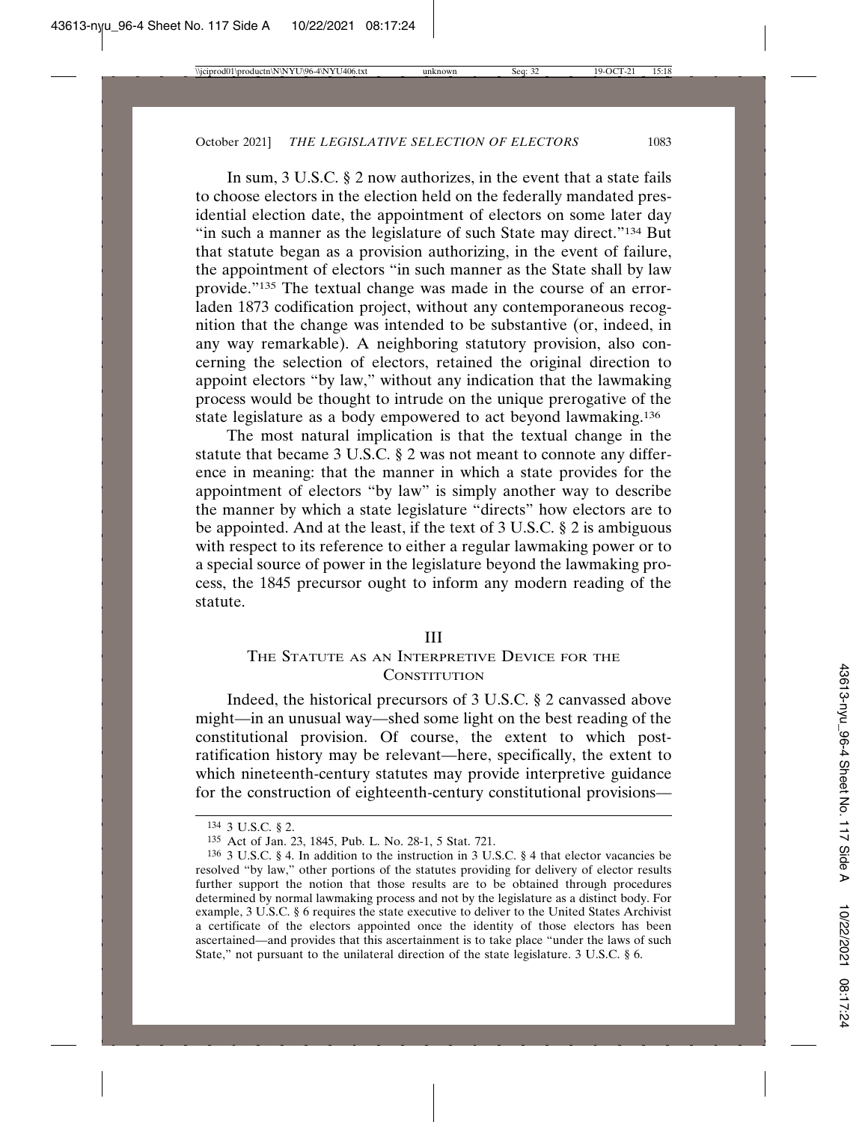In sum, 3 U.S.C. § 2 now authorizes, in the event that a state fails to choose electors in the election held on the federally mandated presidential election date, the appointment of electors on some later day "in such a manner as the legislature of such State may direct."<sup>134</sup> But that statute began as a provision authorizing, in the event of failure, the appointment of electors "in such manner as the State shall by law provide."135 The textual change was made in the course of an errorladen 1873 codification project, without any contemporaneous recognition that the change was intended to be substantive (or, indeed, in any way remarkable). A neighboring statutory provision, also concerning the selection of electors, retained the original direction to appoint electors "by law," without any indication that the lawmaking process would be thought to intrude on the unique prerogative of the state legislature as a body empowered to act beyond lawmaking.136

The most natural implication is that the textual change in the statute that became 3 U.S.C. § 2 was not meant to connote any difference in meaning: that the manner in which a state provides for the appointment of electors "by law" is simply another way to describe the manner by which a state legislature "directs" how electors are to be appointed. And at the least, if the text of 3 U.S.C. § 2 is ambiguous with respect to its reference to either a regular lawmaking power or to a special source of power in the legislature beyond the lawmaking process, the 1845 precursor ought to inform any modern reading of the statute.

#### III

# THE STATUTE AS AN INTERPRETIVE DEVICE FOR THE **CONSTITUTION**

Indeed, the historical precursors of 3 U.S.C. § 2 canvassed above might—in an unusual way—shed some light on the best reading of the constitutional provision. Of course, the extent to which postratification history may be relevant—here, specifically, the extent to which nineteenth-century statutes may provide interpretive guidance for the construction of eighteenth-century constitutional provisions—

<sup>134</sup> 3 U.S.C. § 2.

<sup>135</sup> Act of Jan. 23, 1845, Pub. L. No. 28-1, 5 Stat. 721.

<sup>136</sup> 3 U.S.C. § 4. In addition to the instruction in 3 U.S.C. § 4 that elector vacancies be resolved "by law," other portions of the statutes providing for delivery of elector results further support the notion that those results are to be obtained through procedures determined by normal lawmaking process and not by the legislature as a distinct body. For example, 3 U.S.C. § 6 requires the state executive to deliver to the United States Archivist a certificate of the electors appointed once the identity of those electors has been ascertained—and provides that this ascertainment is to take place "under the laws of such State," not pursuant to the unilateral direction of the state legislature. 3 U.S.C. § 6.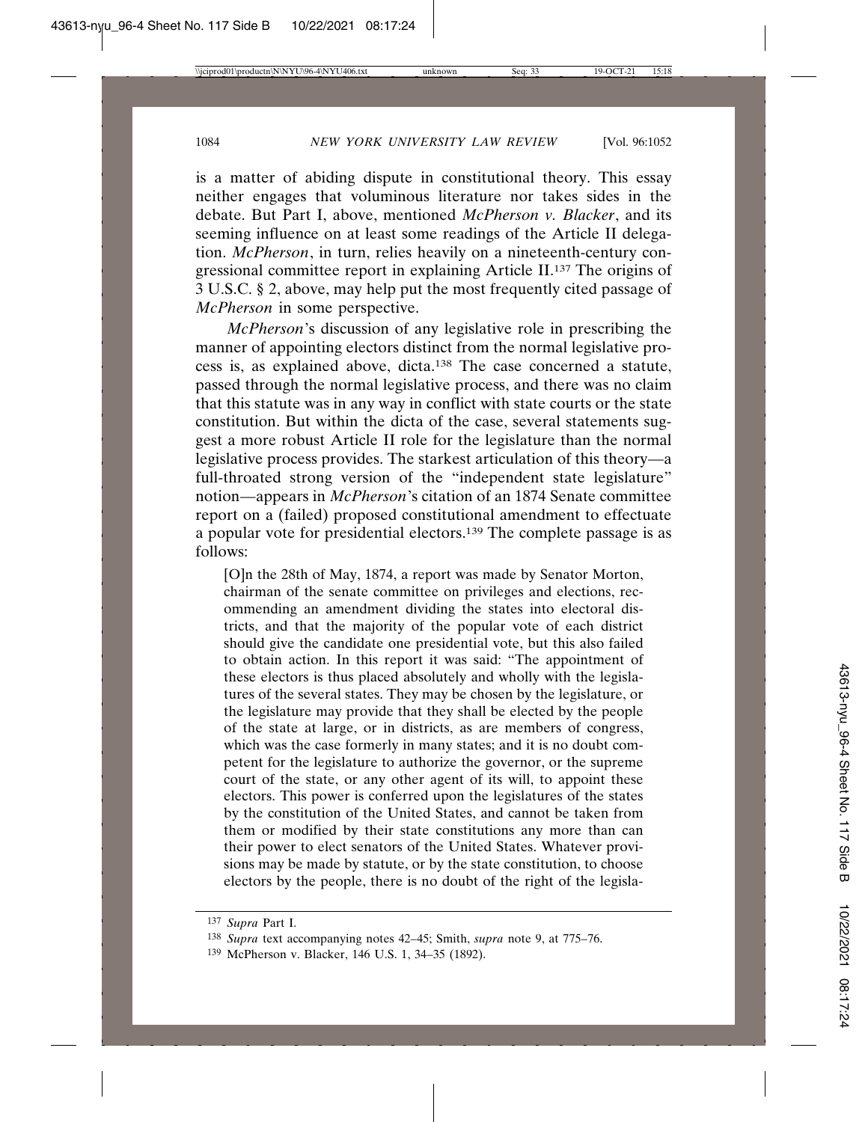is a matter of abiding dispute in constitutional theory. This essay neither engages that voluminous literature nor takes sides in the debate. But Part I, above, mentioned *McPherson v. Blacker*, and its seeming influence on at least some readings of the Article II delegation. *McPherson*, in turn, relies heavily on a nineteenth-century congressional committee report in explaining Article II.137 The origins of 3 U.S.C. § 2, above, may help put the most frequently cited passage of *McPherson* in some perspective.

*McPherson*'s discussion of any legislative role in prescribing the manner of appointing electors distinct from the normal legislative process is, as explained above, dicta.138 The case concerned a statute, passed through the normal legislative process, and there was no claim that this statute was in any way in conflict with state courts or the state constitution. But within the dicta of the case, several statements suggest a more robust Article II role for the legislature than the normal legislative process provides. The starkest articulation of this theory—a full-throated strong version of the "independent state legislature" notion—appears in *McPherson*'s citation of an 1874 Senate committee report on a (failed) proposed constitutional amendment to effectuate a popular vote for presidential electors.139 The complete passage is as follows:

[O]n the 28th of May, 1874, a report was made by Senator Morton, chairman of the senate committee on privileges and elections, recommending an amendment dividing the states into electoral districts, and that the majority of the popular vote of each district should give the candidate one presidential vote, but this also failed to obtain action. In this report it was said: "The appointment of these electors is thus placed absolutely and wholly with the legislatures of the several states. They may be chosen by the legislature, or the legislature may provide that they shall be elected by the people of the state at large, or in districts, as are members of congress, which was the case formerly in many states; and it is no doubt competent for the legislature to authorize the governor, or the supreme court of the state, or any other agent of its will, to appoint these electors. This power is conferred upon the legislatures of the states by the constitution of the United States, and cannot be taken from them or modified by their state constitutions any more than can their power to elect senators of the United States. Whatever provisions may be made by statute, or by the state constitution, to choose electors by the people, there is no doubt of the right of the legisla-

<sup>137</sup> *Supra* Part I.

<sup>138</sup> *Supra* text accompanying notes 42–45; Smith, *supra* note 9, at 775–76.

<sup>139</sup> McPherson v. Blacker, 146 U.S. 1, 34–35 (1892).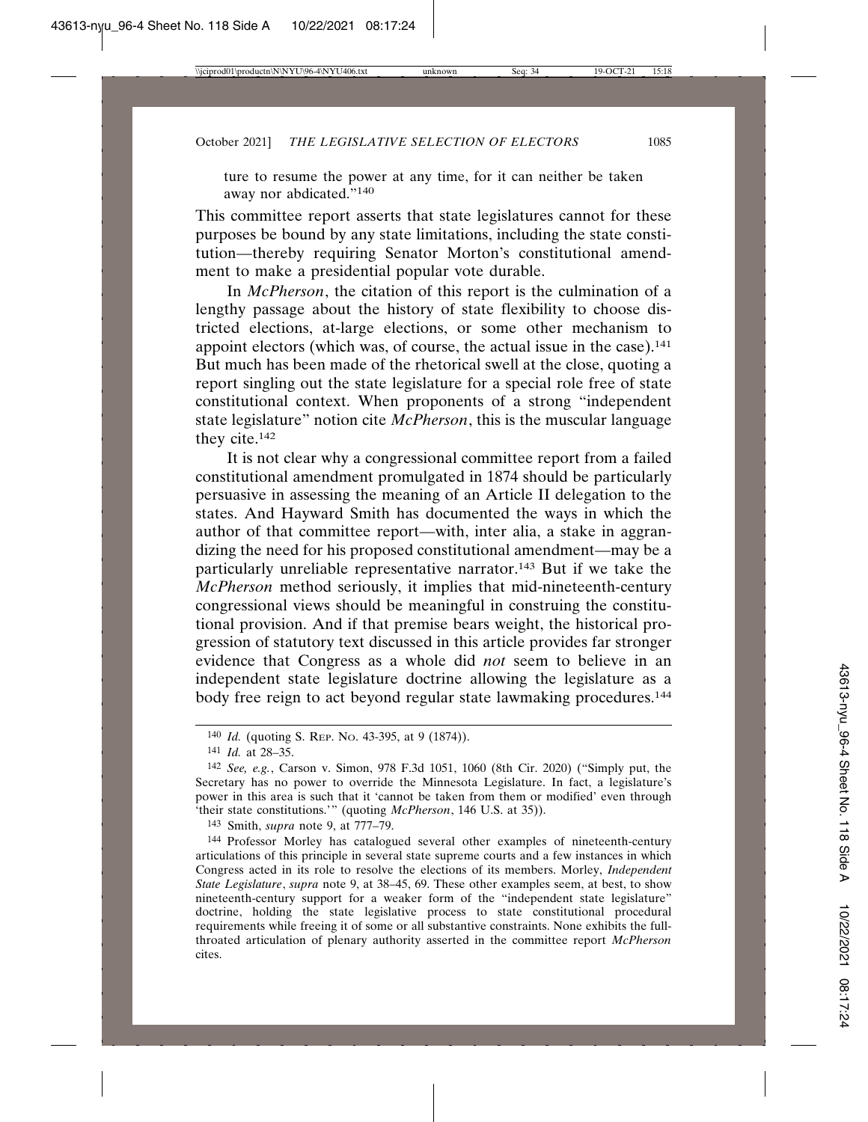ture to resume the power at any time, for it can neither be taken away nor abdicated."140

This committee report asserts that state legislatures cannot for these purposes be bound by any state limitations, including the state constitution—thereby requiring Senator Morton's constitutional amendment to make a presidential popular vote durable.

In *McPherson*, the citation of this report is the culmination of a lengthy passage about the history of state flexibility to choose districted elections, at-large elections, or some other mechanism to appoint electors (which was, of course, the actual issue in the case).<sup>141</sup> But much has been made of the rhetorical swell at the close, quoting a report singling out the state legislature for a special role free of state constitutional context. When proponents of a strong "independent state legislature" notion cite *McPherson*, this is the muscular language they cite.142

It is not clear why a congressional committee report from a failed constitutional amendment promulgated in 1874 should be particularly persuasive in assessing the meaning of an Article II delegation to the states. And Hayward Smith has documented the ways in which the author of that committee report—with, inter alia, a stake in aggrandizing the need for his proposed constitutional amendment—may be a particularly unreliable representative narrator.143 But if we take the *McPherson* method seriously, it implies that mid-nineteenth-century congressional views should be meaningful in construing the constitutional provision. And if that premise bears weight, the historical progression of statutory text discussed in this article provides far stronger evidence that Congress as a whole did *not* seem to believe in an independent state legislature doctrine allowing the legislature as a body free reign to act beyond regular state lawmaking procedures.<sup>144</sup>

143 Smith, *supra* note 9, at 777–79.

<sup>140</sup> *Id.* (quoting S. REP. NO. 43-395, at 9 (1874)).

<sup>141</sup> *Id.* at 28–35.

<sup>142</sup> *See, e.g.*, Carson v. Simon, 978 F.3d 1051, 1060 (8th Cir. 2020) ("Simply put, the Secretary has no power to override the Minnesota Legislature. In fact, a legislature's power in this area is such that it 'cannot be taken from them or modified' even through 'their state constitutions.'" (quoting *McPherson*, 146 U.S. at 35)).

<sup>144</sup> Professor Morley has catalogued several other examples of nineteenth-century articulations of this principle in several state supreme courts and a few instances in which Congress acted in its role to resolve the elections of its members. Morley, *Independent State Legislature*, *supra* note 9, at 38–45, 69. These other examples seem, at best, to show nineteenth-century support for a weaker form of the "independent state legislature" doctrine, holding the state legislative process to state constitutional procedural requirements while freeing it of some or all substantive constraints. None exhibits the fullthroated articulation of plenary authority asserted in the committee report *McPherson* cites.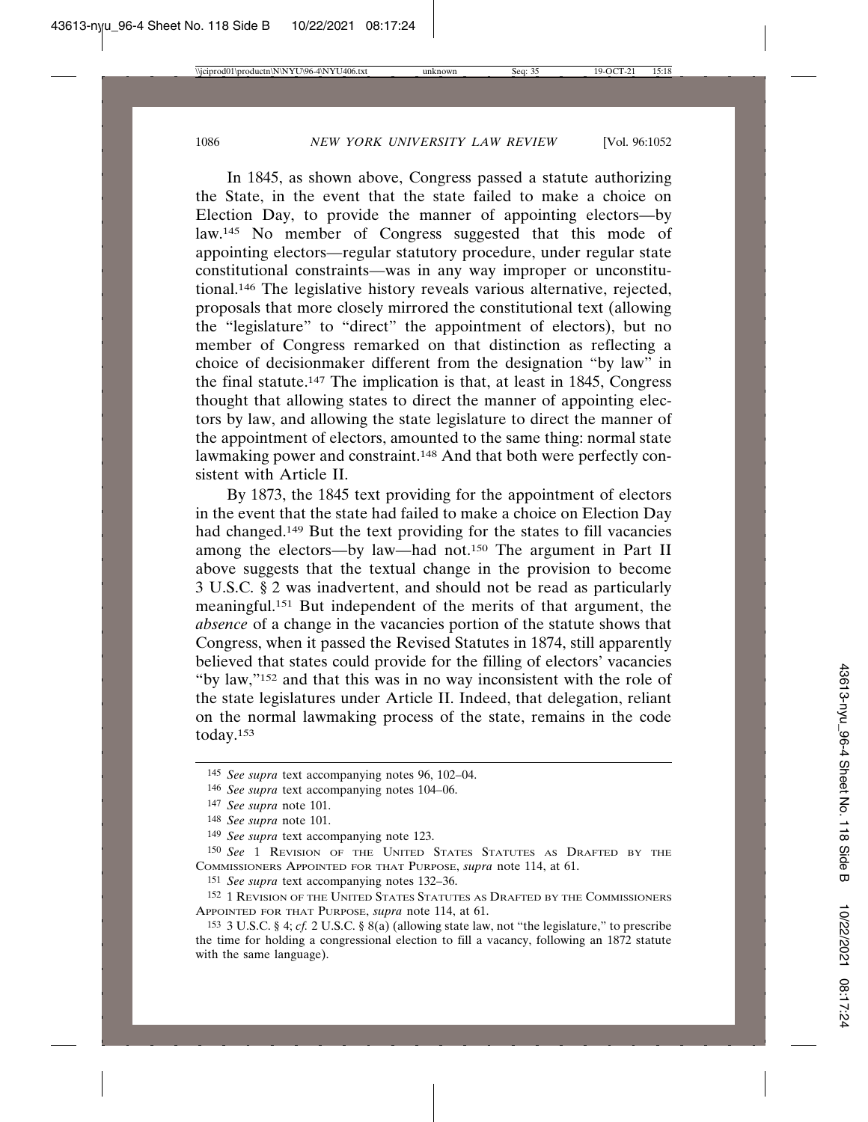In 1845, as shown above, Congress passed a statute authorizing the State, in the event that the state failed to make a choice on Election Day, to provide the manner of appointing electors—by law.145 No member of Congress suggested that this mode of appointing electors—regular statutory procedure, under regular state constitutional constraints—was in any way improper or unconstitutional.146 The legislative history reveals various alternative, rejected, proposals that more closely mirrored the constitutional text (allowing the "legislature" to "direct" the appointment of electors), but no member of Congress remarked on that distinction as reflecting a choice of decisionmaker different from the designation "by law" in the final statute.147 The implication is that, at least in 1845, Congress thought that allowing states to direct the manner of appointing electors by law, and allowing the state legislature to direct the manner of the appointment of electors, amounted to the same thing: normal state lawmaking power and constraint.148 And that both were perfectly consistent with Article II.

By 1873, the 1845 text providing for the appointment of electors in the event that the state had failed to make a choice on Election Day had changed.149 But the text providing for the states to fill vacancies among the electors—by law—had not.150 The argument in Part II above suggests that the textual change in the provision to become 3 U.S.C. § 2 was inadvertent, and should not be read as particularly meaningful.151 But independent of the merits of that argument, the *absence* of a change in the vacancies portion of the statute shows that Congress, when it passed the Revised Statutes in 1874, still apparently believed that states could provide for the filling of electors' vacancies "by law,"152 and that this was in no way inconsistent with the role of the state legislatures under Article II. Indeed, that delegation, reliant on the normal lawmaking process of the state, remains in the code today.153

151 *See supra* text accompanying notes 132–36.

152 1 REVISION OF THE UNITED STATES STATUTES AS DRAFTED BY THE COMMISSIONERS APPOINTED FOR THAT PURPOSE, *supra* note 114, at 61.

153 3 U.S.C. § 4; *cf.* 2 U.S.C. § 8(a) (allowing state law, not "the legislature," to prescribe the time for holding a congressional election to fill a vacancy, following an 1872 statute with the same language).

<sup>145</sup> *See supra* text accompanying notes 96, 102–04.

<sup>146</sup> *See supra* text accompanying notes 104–06.

<sup>147</sup> *See supra* note 101.

<sup>148</sup> *See supra* note 101.

<sup>149</sup> *See supra* text accompanying note 123.

<sup>150</sup> *See* 1 REVISION OF THE UNITED STATES STATUTES AS DRAFTED BY THE COMMISSIONERS APPOINTED FOR THAT PURPOSE, *supra* note 114, at 61.